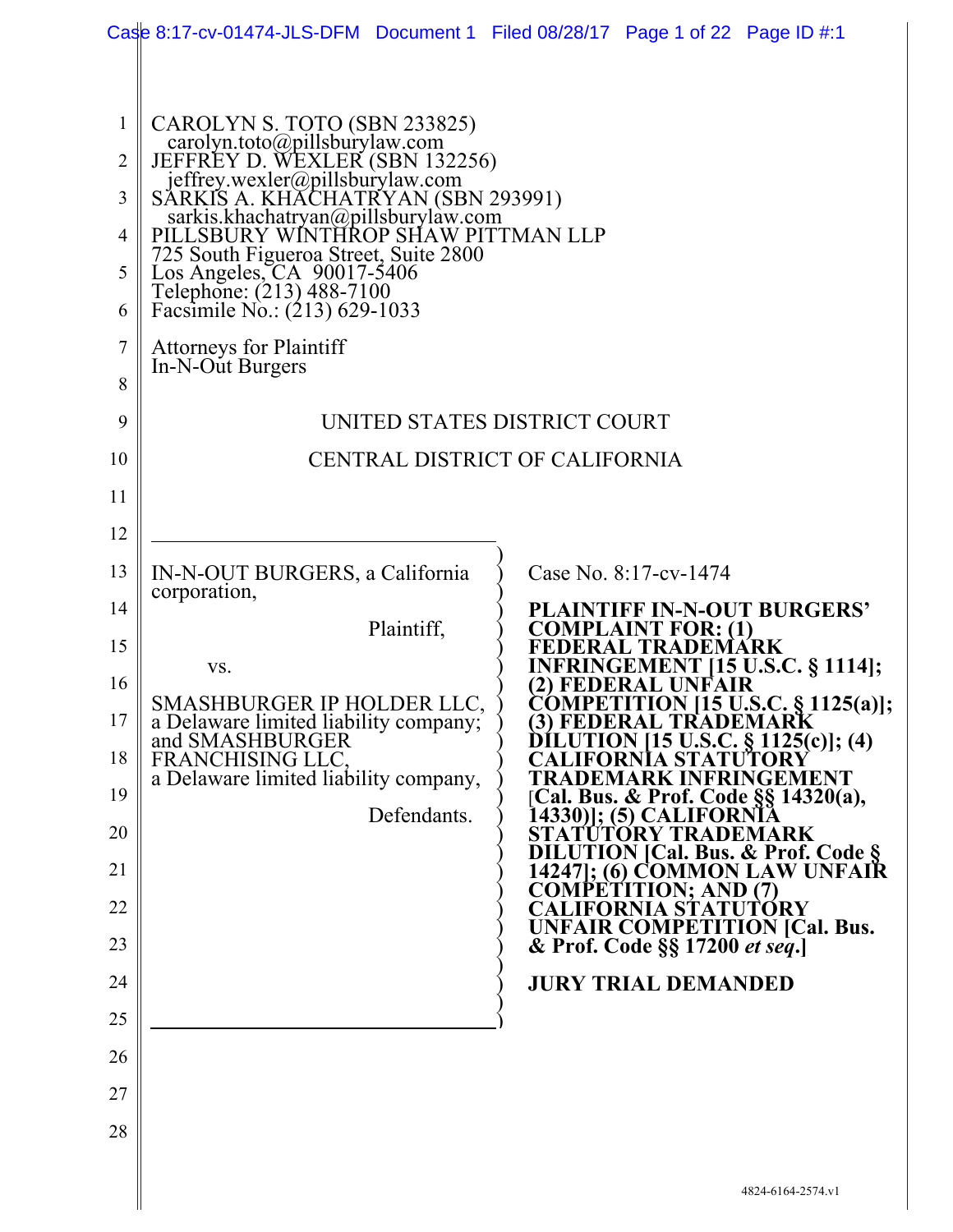|          | Case 8:17-cv-01474-JLS-DFM Document 1 Filed 08/28/17 Page 1 of 22 Page ID #:1                                                    |
|----------|----------------------------------------------------------------------------------------------------------------------------------|
|          |                                                                                                                                  |
| 1        | CAROLYN S. TOTO (SBN 233825)                                                                                                     |
| 2        | carolyn.toto@pillsburylaw.com<br>JEFFREY D. WEXLER (SBN 132256)                                                                  |
| 3        | jeffrey.wexler@pillsburylaw.com<br>SARKIS A. KHACHATRYAN (SBN 293991)                                                            |
| 4        | sarkis.khachatryan@pillsburylaw.com<br>PILLSBURY WÍNTHROP SHAW PITTMAN LLP                                                       |
| 5        | 725 South Figueroa Street, Suite 2800                                                                                            |
| 6        | Los Angeles, CA 90017-3406<br>Telephone: (213) 488-7100<br>Facsimile No.: (213) 629-1033                                         |
| 7        | <b>Attorneys for Plaintiff</b>                                                                                                   |
| 8        | In-N-Out Burgers                                                                                                                 |
| 9        | UNITED STATES DISTRICT COURT                                                                                                     |
| 10       | CENTRAL DISTRICT OF CALIFORNIA                                                                                                   |
| 11       |                                                                                                                                  |
| 12       |                                                                                                                                  |
| 13       | IN-N-OUT BURGERS, a California<br>Case No. 8:17-cv-1474<br>corporation,                                                          |
| 14       | PLAINTIFF IN-N-OUT BURGERS'<br>Plaintiff,<br><b>COMPLAINT FOR: (1)</b>                                                           |
| 15       | <b>RADEMÁRK</b><br><b>INFRINGEMENT</b> [15 U.S.C. § 1114];<br>VS.                                                                |
| 16       | <b>UNFAIR</b><br>ERAJ<br>SMASHBURGER IP HOLDER LLC<br><b>COMPETITION [15 U.S.C. § 1125(a)];</b>                                  |
| 17<br>18 | a Delaware limited liability company;<br>and SMASHBURGER<br>(3) FEDERAL TRADEMARK<br>DILUTION [15 U.S.C. § 1125(c)]; (4)         |
| 19       | <b>CALIFORNIA STATUTORY</b><br><b>FRANCHISING LLC.</b><br>a Delaware limited liability company,<br><b>TRADEMARK INFRINGEMENT</b> |
| 20       | [Cal. Bus. & Prof. Code §§ 14320(a),<br>Defendants.<br>14330)]; (5) CALIFORNIA<br>STATUTORY TRADEMARK                            |
| 21       | <b>DILUTION [Cal. Bus. &amp; Prof. Code §<br/>14247]; (6) COMMON LAW UNFAIR<br/>COMPETITION; AND (7)</b>                         |
| 22       | CALIFORNIA STATUTÓRY                                                                                                             |
| 23       | <b>UNFAIR COMPETITION [Cal. Bus. &amp; Prof. Code §§ 17200 et seq.]</b>                                                          |
| 24       | <b>JURY TRIAL DEMANDED</b>                                                                                                       |
| 25       |                                                                                                                                  |
| 26       |                                                                                                                                  |
| 27       |                                                                                                                                  |
| 28       |                                                                                                                                  |
|          |                                                                                                                                  |
|          | 4824-6164-2574.vl                                                                                                                |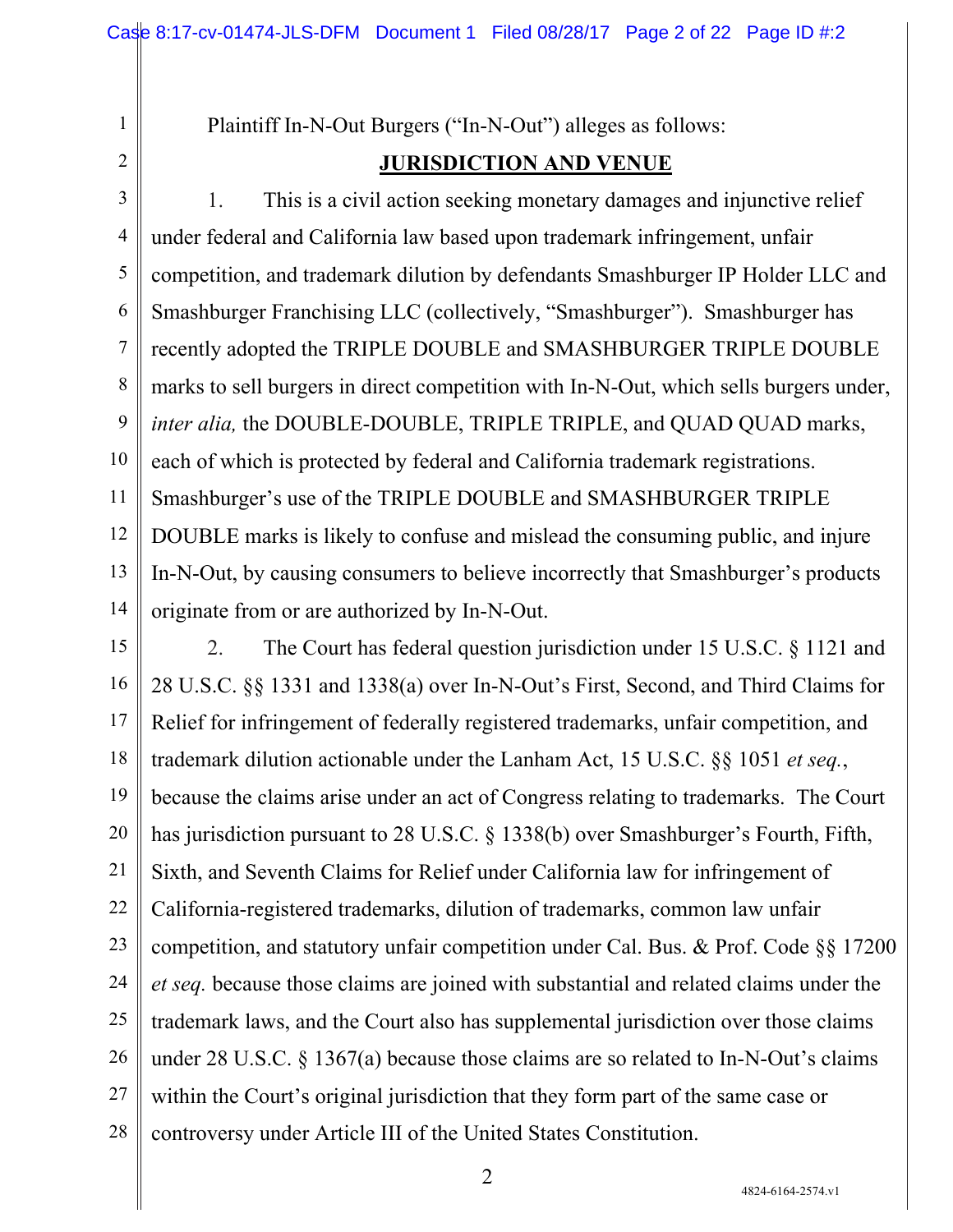2

1

Plaintiff In-N-Out Burgers ("In-N-Out") alleges as follows:

## **JURISDICTION AND VENUE**

3 4 5 6 7 8 9 10 11 12 13 14 1. This is a civil action seeking monetary damages and injunctive relief under federal and California law based upon trademark infringement, unfair competition, and trademark dilution by defendants Smashburger IP Holder LLC and Smashburger Franchising LLC (collectively, "Smashburger"). Smashburger has recently adopted the TRIPLE DOUBLE and SMASHBURGER TRIPLE DOUBLE marks to sell burgers in direct competition with In-N-Out, which sells burgers under, *inter alia,* the DOUBLE-DOUBLE, TRIPLE TRIPLE, and QUAD QUAD marks, each of which is protected by federal and California trademark registrations. Smashburger's use of the TRIPLE DOUBLE and SMASHBURGER TRIPLE DOUBLE marks is likely to confuse and mislead the consuming public, and injure In-N-Out, by causing consumers to believe incorrectly that Smashburger's products originate from or are authorized by In-N-Out.

15 16 17 18 19 20 21 22 23 24 25 26 27 28 2. The Court has federal question jurisdiction under 15 U.S.C. § 1121 and 28 U.S.C. §§ 1331 and 1338(a) over In-N-Out's First, Second, and Third Claims for Relief for infringement of federally registered trademarks, unfair competition, and trademark dilution actionable under the Lanham Act, 15 U.S.C. §§ 1051 *et seq.*, because the claims arise under an act of Congress relating to trademarks. The Court has jurisdiction pursuant to 28 U.S.C. § 1338(b) over Smashburger's Fourth, Fifth, Sixth, and Seventh Claims for Relief under California law for infringement of California-registered trademarks, dilution of trademarks, common law unfair competition, and statutory unfair competition under Cal. Bus. & Prof. Code §§ 17200 *et seq.* because those claims are joined with substantial and related claims under the trademark laws, and the Court also has supplemental jurisdiction over those claims under 28 U.S.C. § 1367(a) because those claims are so related to In-N-Out's claims within the Court's original jurisdiction that they form part of the same case or controversy under Article III of the United States Constitution.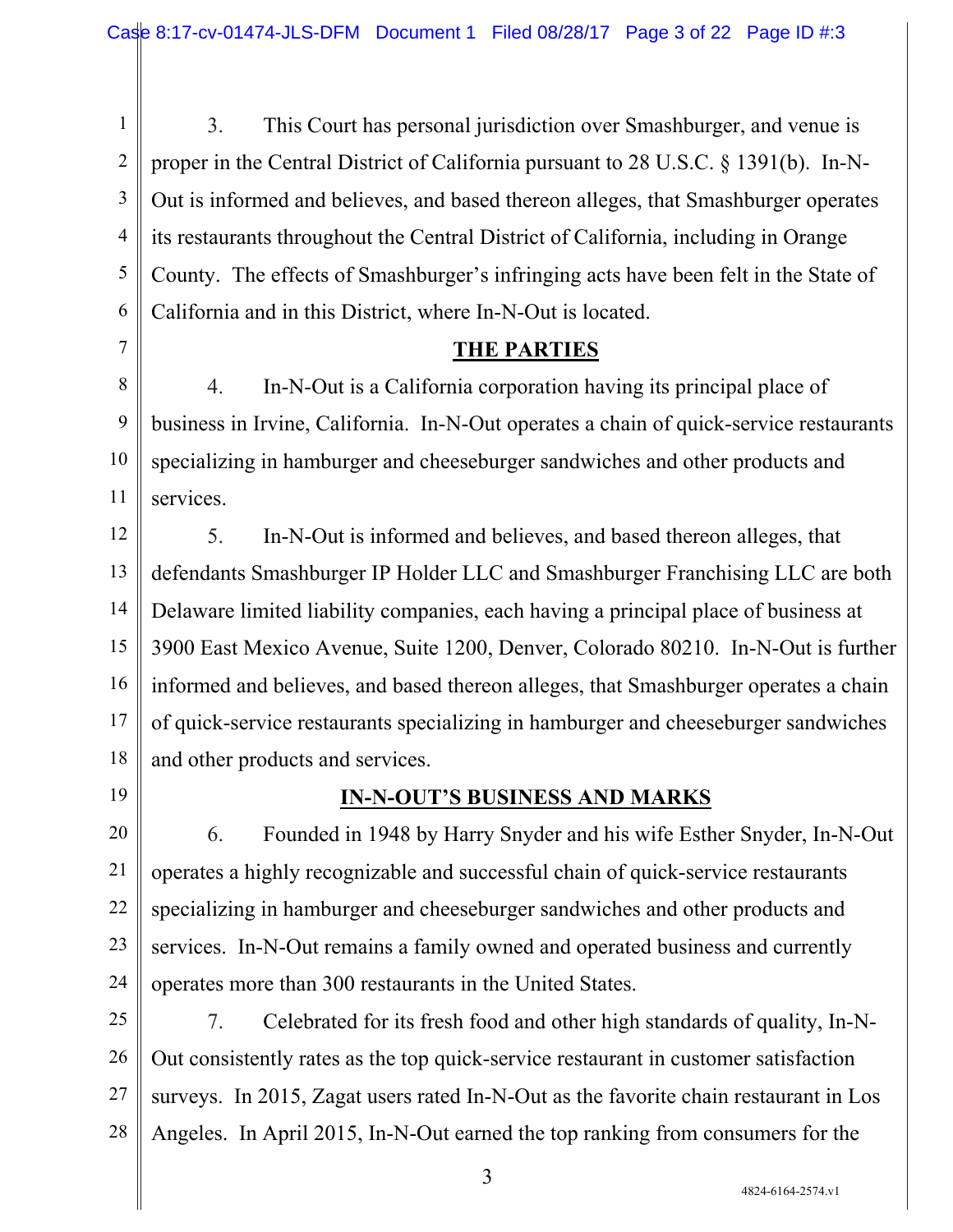1 2 3 4 5 6 3. This Court has personal jurisdiction over Smashburger, and venue is proper in the Central District of California pursuant to 28 U.S.C. § 1391(b). In-N-Out is informed and believes, and based thereon alleges, that Smashburger operates its restaurants throughout the Central District of California, including in Orange County. The effects of Smashburger's infringing acts have been felt in the State of California and in this District, where In-N-Out is located.

### **THE PARTIES**

8 9 10 11 4. In-N-Out is a California corporation having its principal place of business in Irvine, California. In-N-Out operates a chain of quick-service restaurants specializing in hamburger and cheeseburger sandwiches and other products and services.

12 13 14 15 16 17 18 5. In-N-Out is informed and believes, and based thereon alleges, that defendants Smashburger IP Holder LLC and Smashburger Franchising LLC are both Delaware limited liability companies, each having a principal place of business at 3900 East Mexico Avenue, Suite 1200, Denver, Colorado 80210. In-N-Out is further informed and believes, and based thereon alleges, that Smashburger operates a chain of quick-service restaurants specializing in hamburger and cheeseburger sandwiches and other products and services.

19

7

# **IN-N-OUT'S BUSINESS AND MARKS**

20 21 22 23 24 6. Founded in 1948 by Harry Snyder and his wife Esther Snyder, In-N-Out operates a highly recognizable and successful chain of quick-service restaurants specializing in hamburger and cheeseburger sandwiches and other products and services. In-N-Out remains a family owned and operated business and currently operates more than 300 restaurants in the United States.

25 26 27 28 7. Celebrated for its fresh food and other high standards of quality, In-N-Out consistently rates as the top quick-service restaurant in customer satisfaction surveys. In 2015, Zagat users rated In-N-Out as the favorite chain restaurant in Los Angeles. In April 2015, In-N-Out earned the top ranking from consumers for the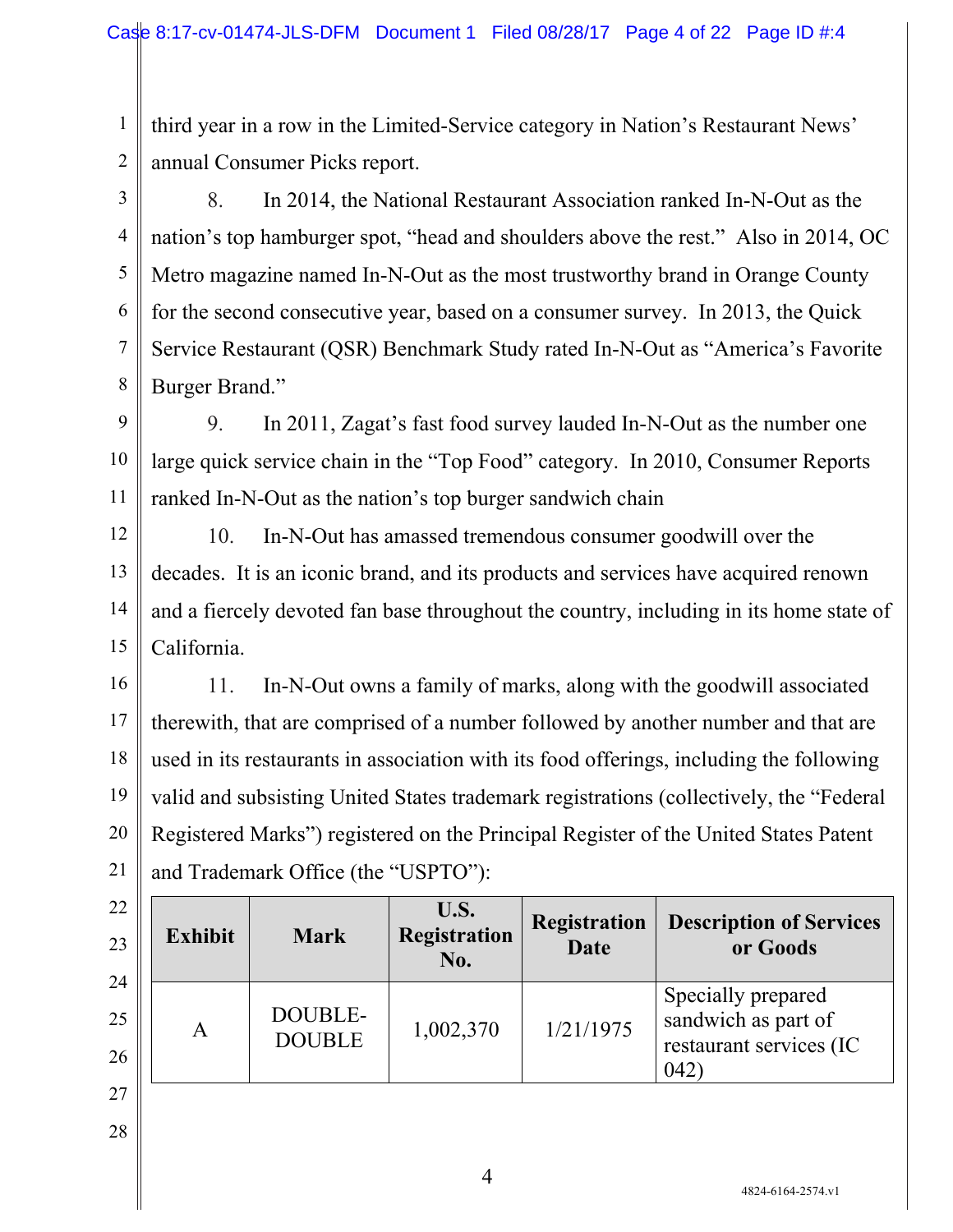1 2 third year in a row in the Limited-Service category in Nation's Restaurant News' annual Consumer Picks report.

3 4 5 6 7 8 8. In 2014, the National Restaurant Association ranked In-N-Out as the nation's top hamburger spot, "head and shoulders above the rest." Also in 2014, OC Metro magazine named In-N-Out as the most trustworthy brand in Orange County for the second consecutive year, based on a consumer survey. In 2013, the Quick Service Restaurant (QSR) Benchmark Study rated In-N-Out as "America's Favorite Burger Brand."

9 10 11 9. In 2011, Zagat's fast food survey lauded In-N-Out as the number one large quick service chain in the "Top Food" category. In 2010, Consumer Reports ranked In-N-Out as the nation's top burger sandwich chain

12 13 14 15 10. In-N-Out has amassed tremendous consumer goodwill over the decades. It is an iconic brand, and its products and services have acquired renown and a fiercely devoted fan base throughout the country, including in its home state of California.

16 17 18 19 20 21 11. In-N-Out owns a family of marks, along with the goodwill associated therewith, that are comprised of a number followed by another number and that are used in its restaurants in association with its food offerings, including the following valid and subsisting United States trademark registrations (collectively, the "Federal Registered Marks") registered on the Principal Register of the United States Patent and Trademark Office (the "USPTO"):

| <b>Exhibit</b> | <b>Mark</b>              | U.S.<br><b>Registration</b><br>No. | Registration<br><b>Date</b> | <b>Description of Services</b><br>or Goods                                  |
|----------------|--------------------------|------------------------------------|-----------------------------|-----------------------------------------------------------------------------|
| A              | DOUBLE-<br><b>DOUBLE</b> | 1,002,370                          | 1/21/1975                   | Specially prepared<br>sandwich as part of<br>restaurant services (IC<br>042 |

28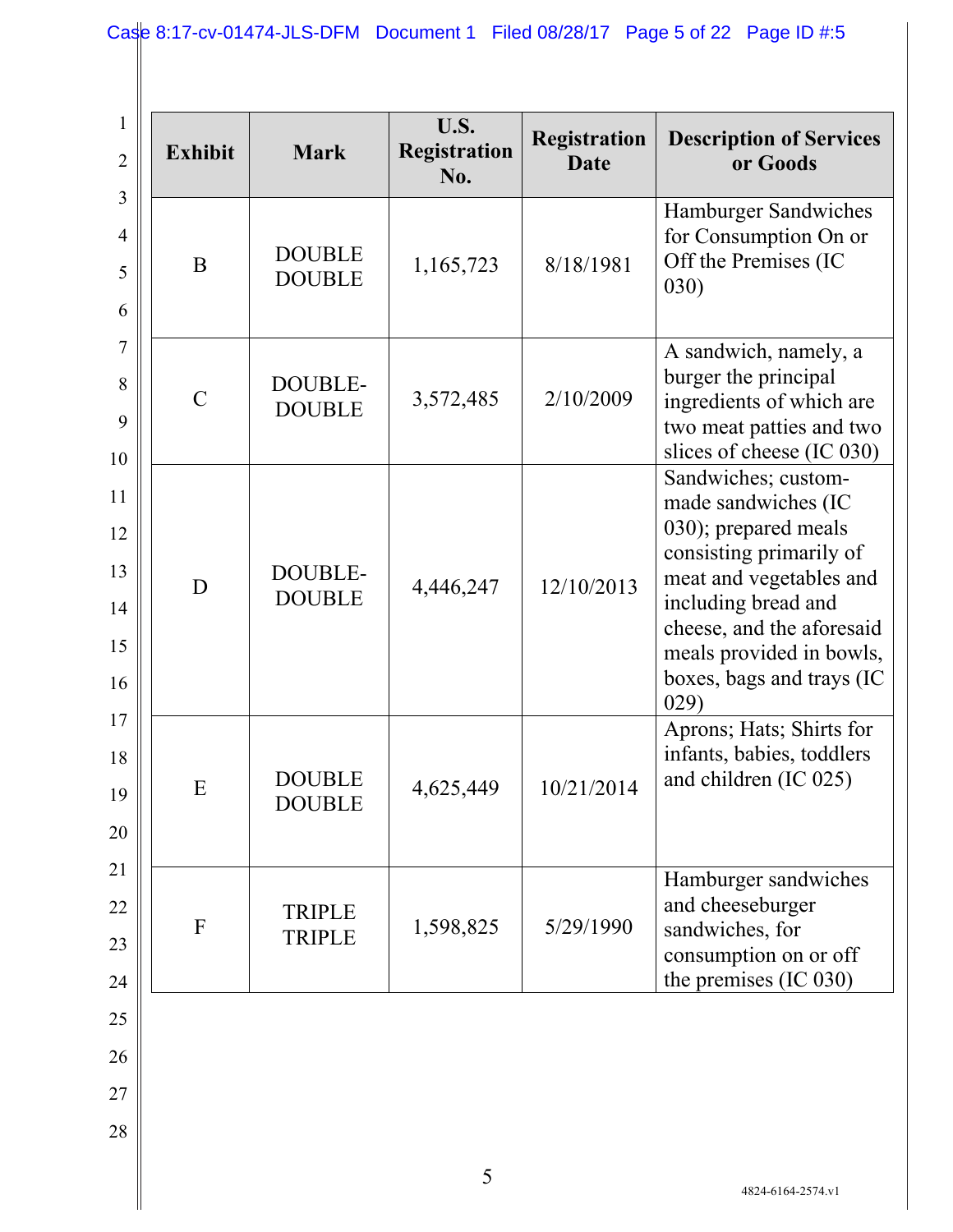| <b>DOUBLE</b><br>Off the Premises (IC<br>B<br>8/18/1981<br>1,165,723<br><b>DOUBLE</b><br>030)<br>A sandwich, namely, a<br>burger the principal<br>DOUBLE-<br>2/10/2009<br>$\mathcal{C}$<br>3,572,485<br><b>DOUBLE</b><br>Sandwiches; custom-<br>made sandwiches (IC<br>030); prepared meals<br>DOUBLE-<br>D<br>12/10/2013<br>4,446,247<br><b>DOUBLE</b><br>including bread and<br>029)<br>and children (IC 025)<br><b>DOUBLE</b><br>10/21/2014<br>4,625,449<br>E<br><b>DOUBLE</b><br>and cheeseburger<br><b>TRIPLE</b><br>$\Gamma$<br>1,598,825<br>5/29/1990<br>sandwiches, for | <b>Exhibit</b> | <b>Mark</b>   | U.S.<br><b>Registration</b><br>No. | Registration<br>Date | <b>Description of Services</b><br>or Goods                                                                                               |
|---------------------------------------------------------------------------------------------------------------------------------------------------------------------------------------------------------------------------------------------------------------------------------------------------------------------------------------------------------------------------------------------------------------------------------------------------------------------------------------------------------------------------------------------------------------------------------|----------------|---------------|------------------------------------|----------------------|------------------------------------------------------------------------------------------------------------------------------------------|
|                                                                                                                                                                                                                                                                                                                                                                                                                                                                                                                                                                                 |                |               |                                    |                      | Hamburger Sandwiches<br>for Consumption On or                                                                                            |
|                                                                                                                                                                                                                                                                                                                                                                                                                                                                                                                                                                                 |                |               |                                    |                      | ingredients of which are<br>two meat patties and two<br>slices of cheese (IC 030)                                                        |
|                                                                                                                                                                                                                                                                                                                                                                                                                                                                                                                                                                                 |                |               |                                    |                      | consisting primarily of<br>meat and vegetables and<br>cheese, and the aforesaid<br>meals provided in bowls,<br>boxes, bags and trays (IC |
|                                                                                                                                                                                                                                                                                                                                                                                                                                                                                                                                                                                 |                |               |                                    |                      | Aprons; Hats; Shirts for<br>infants, babies, toddlers                                                                                    |
| the premises (IC 030)                                                                                                                                                                                                                                                                                                                                                                                                                                                                                                                                                           |                | <b>TRIPLE</b> |                                    |                      | Hamburger sandwiches<br>consumption on or off                                                                                            |
|                                                                                                                                                                                                                                                                                                                                                                                                                                                                                                                                                                                 |                |               | 5                                  |                      | 4824-6164-2574.vl                                                                                                                        |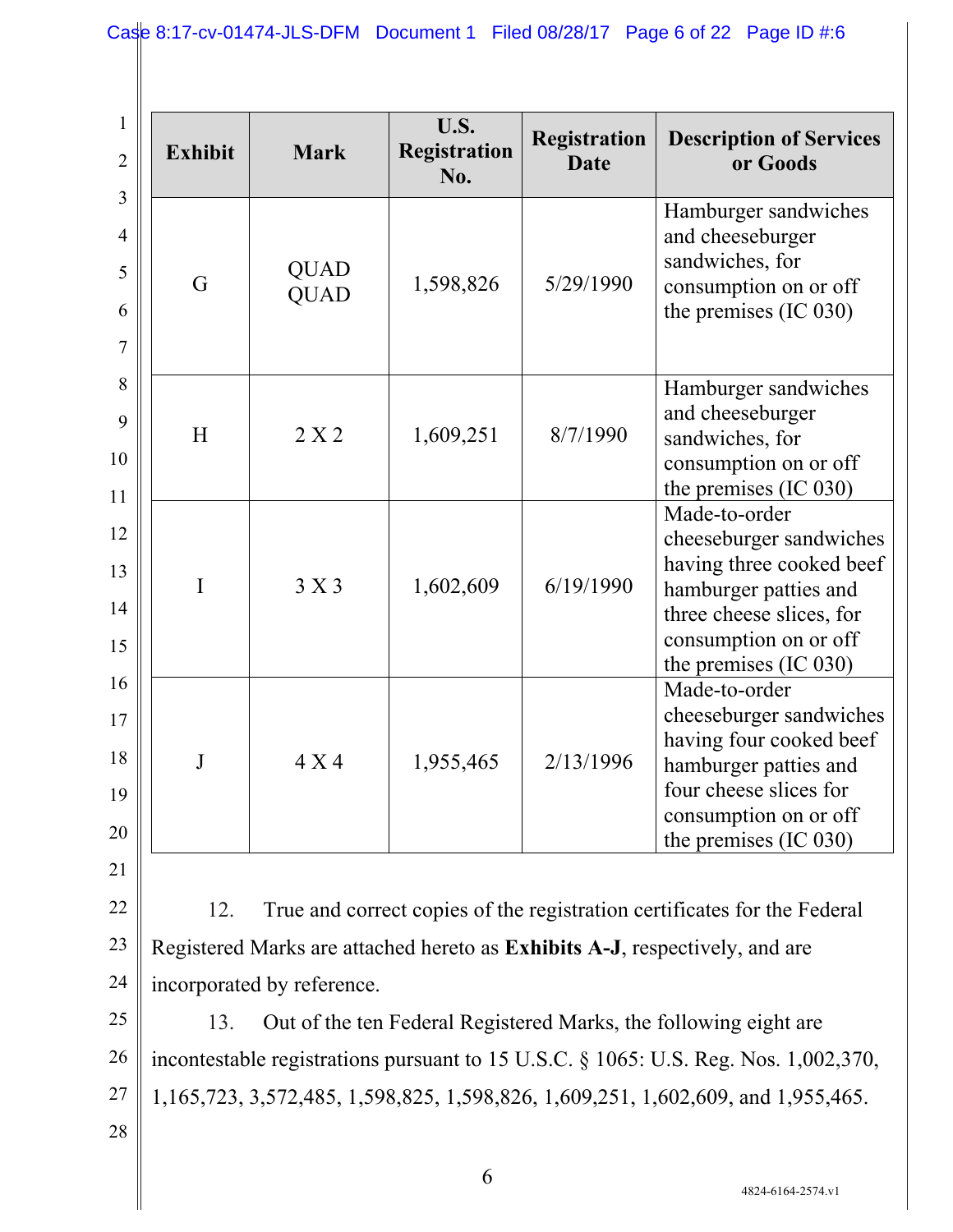| <b>Exhibit</b> | <b>Mark</b>                | U.S.<br><b>Registration</b><br>No. | Registration<br><b>Date</b> | <b>Description of Services</b><br>or Goods                                                                                                                                  |
|----------------|----------------------------|------------------------------------|-----------------------------|-----------------------------------------------------------------------------------------------------------------------------------------------------------------------------|
| G              | <b>QUAD</b><br><b>QUAD</b> | 1,598,826                          | 5/29/1990                   | Hamburger sandwiches<br>and cheeseburger<br>sandwiches, for<br>consumption on or off<br>the premises (IC 030)                                                               |
| H              | 2 X 2                      | 1,609,251                          | 8/7/1990                    | Hamburger sandwiches<br>and cheeseburger<br>sandwiches, for<br>consumption on or off<br>the premises (IC 030)                                                               |
| I              | 3 X 3                      | 1,602,609                          | 6/19/1990                   | Made-to-order<br>cheeseburger sandwiches<br>having three cooked beef<br>hamburger patties and<br>three cheese slices, for<br>consumption on or off<br>the premises (IC 030) |
| J              | 4 X 4                      | 1,955,465                          | 2/13/1996                   | Made-to-order<br>cheeseburger sandwiches<br>having four cooked beef<br>hamburger patties and<br>four cheese slices for<br>consumption on or off<br>the premises (IC 030)    |

21

22

23

24

12. True and correct copies of the registration certificates for the Federal Registered Marks are attached hereto as **Exhibits A-J**, respectively, and are incorporated by reference.

25 26 27 13. Out of the ten Federal Registered Marks, the following eight are incontestable registrations pursuant to 15 U.S.C. § 1065: U.S. Reg. Nos. 1,002,370, 1,165,723, 3,572,485, 1,598,825, 1,598,826, 1,609,251, 1,602,609, and 1,955,465.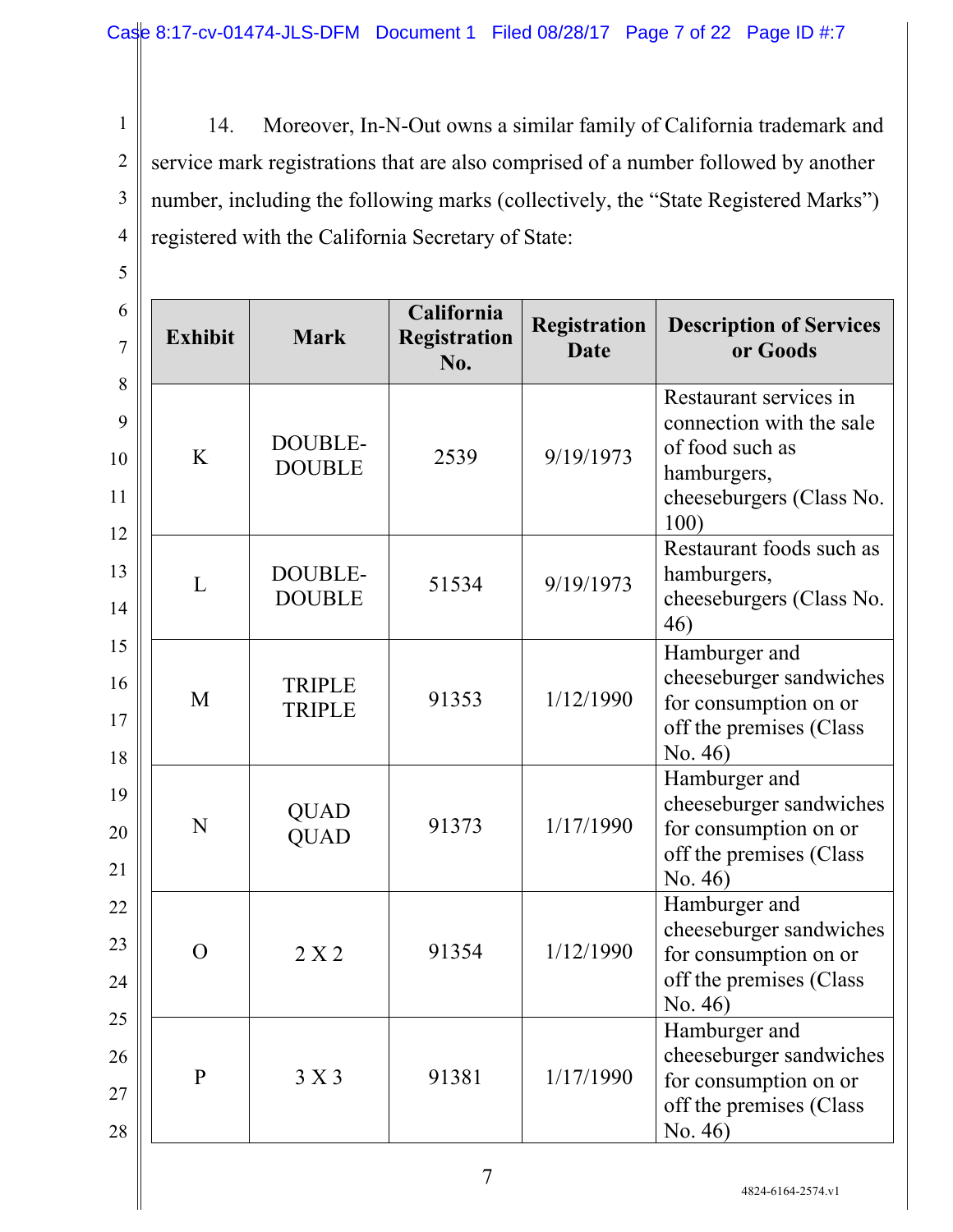1 2 3 4 14. Moreover, In-N-Out owns a similar family of California trademark and service mark registrations that are also comprised of a number followed by another number, including the following marks (collectively, the "State Registered Marks") registered with the California Secretary of State:

5

6 7 8 9 10 11 12 13 14 15 16 17 18 19 20 21 22 23 24 25 26 27 28 **Exhibit Mark California Registration No. Registration Date Description of Services or Goods**   $K$  DOUBLE- $\overline{D}$ OUBLE 2539 9/19/1973 Restaurant services in connection with the sale of food such as hamburgers, cheeseburgers (Class No. 100)  $L \qquad$  DOUBLE-DOUBLE 51534 9/19/1973 Restaurant foods such as hamburgers, cheeseburgers (Class No. 46) M TRIPLE 91353 1/12/1990 Hamburger and cheeseburger sandwiches for consumption on or off the premises (Class No. 46) N | QUAD<br>QUAD 91373 1/17/1990 Hamburger and cheeseburger sandwiches for consumption on or off the premises (Class No. 46)  $\overline{O}$  | 2 X 2 | 91354 | 1/12/1990 Hamburger and cheeseburger sandwiches for consumption on or off the premises (Class No. 46)  $P$  3 X 3 91381 1/17/1990 Hamburger and cheeseburger sandwiches for consumption on or off the premises (Class No. 46)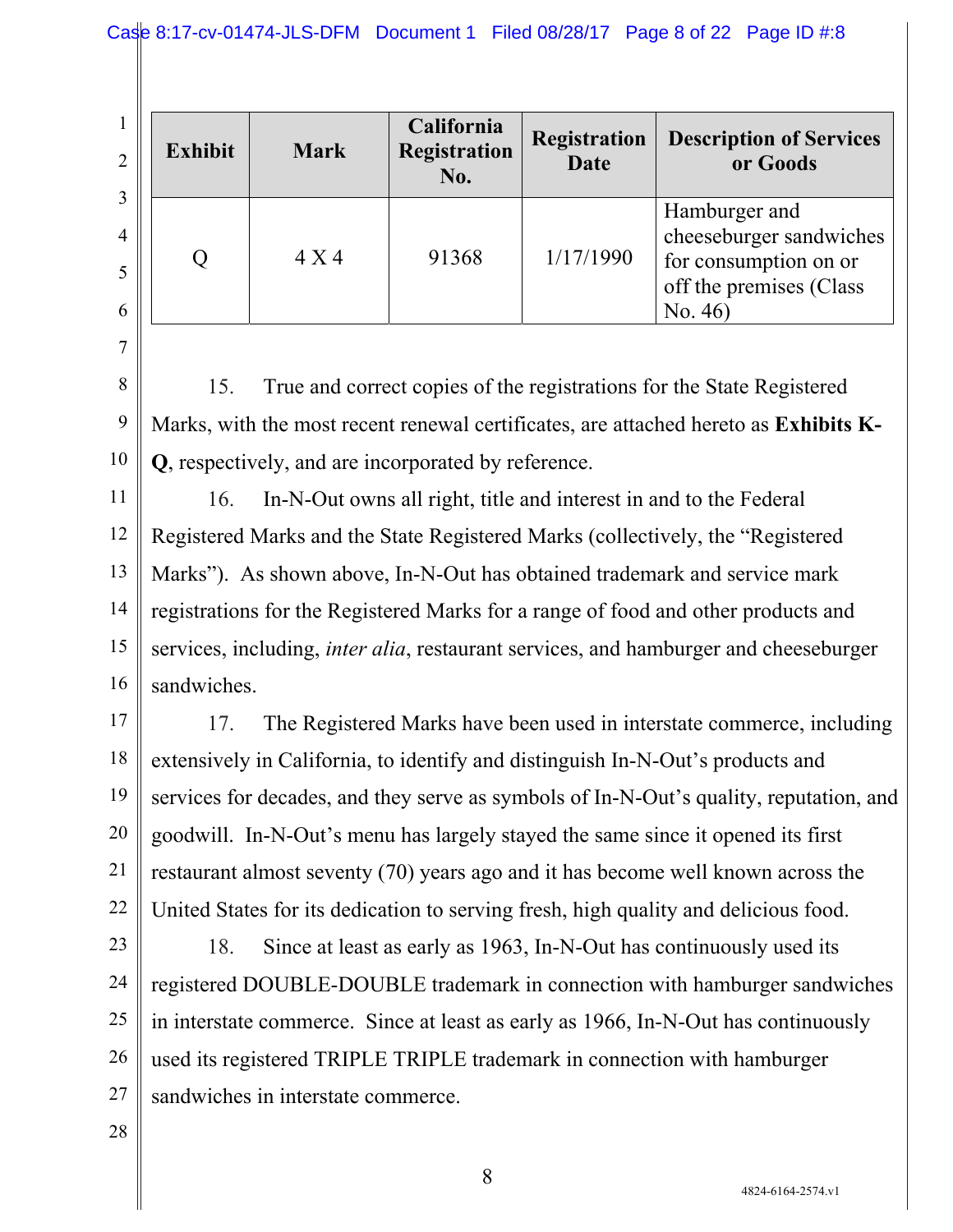#### Case 8:17-cv-01474-JLS-DFM Document 1 Filed 08/28/17 Page 8 of 22 Page ID  $\#3$

| $\overline{2}$<br>$\mathcal{E}$ | <b>Exhibit</b> | <b>Mark</b> | California<br><b>Registration</b><br>No. | <b>Registration</b><br><b>Date</b> | <b>Description of Services</b><br>or Goods                                                              |
|---------------------------------|----------------|-------------|------------------------------------------|------------------------------------|---------------------------------------------------------------------------------------------------------|
| $\overline{4}$<br>6             |                | 4 X 4       | 91368                                    | 1/17/1990                          | Hamburger and<br>cheeseburger sandwiches<br>for consumption on or<br>off the premises (Class<br>No. 46) |

8 9 10 15. True and correct copies of the registrations for the State Registered Marks, with the most recent renewal certificates, are attached hereto as **Exhibits K-Q**, respectively, and are incorporated by reference.

11 12 13 14 15 16 16. In-N-Out owns all right, title and interest in and to the Federal Registered Marks and the State Registered Marks (collectively, the "Registered Marks"). As shown above, In-N-Out has obtained trademark and service mark registrations for the Registered Marks for a range of food and other products and services, including, *inter alia*, restaurant services, and hamburger and cheeseburger sandwiches.

17 18 19 20 21 22 17. The Registered Marks have been used in interstate commerce, including extensively in California, to identify and distinguish In-N-Out's products and services for decades, and they serve as symbols of In-N-Out's quality, reputation, and goodwill. In-N-Out's menu has largely stayed the same since it opened its first restaurant almost seventy (70) years ago and it has become well known across the United States for its dedication to serving fresh, high quality and delicious food.

23 24 25 26 27 18. Since at least as early as 1963, In-N-Out has continuously used its registered DOUBLE-DOUBLE trademark in connection with hamburger sandwiches in interstate commerce. Since at least as early as 1966, In-N-Out has continuously used its registered TRIPLE TRIPLE trademark in connection with hamburger sandwiches in interstate commerce.

28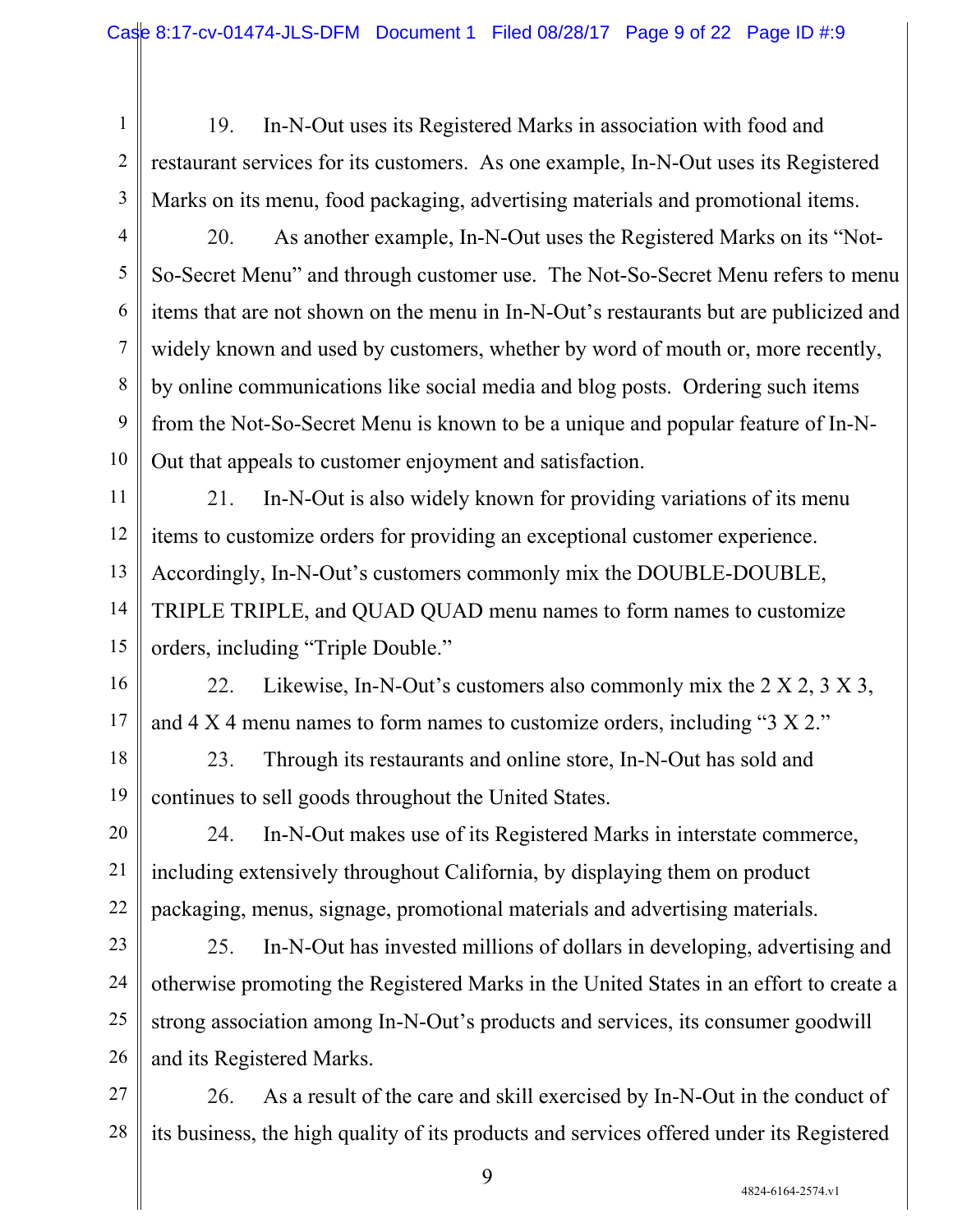1 2 3 19. In-N-Out uses its Registered Marks in association with food and restaurant services for its customers. As one example, In-N-Out uses its Registered Marks on its menu, food packaging, advertising materials and promotional items.

4

7

5 6 8 9 10 20. As another example, In-N-Out uses the Registered Marks on its "Not-So-Secret Menu" and through customer use. The Not-So-Secret Menu refers to menu items that are not shown on the menu in In-N-Out's restaurants but are publicized and widely known and used by customers, whether by word of mouth or, more recently, by online communications like social media and blog posts. Ordering such items from the Not-So-Secret Menu is known to be a unique and popular feature of In-N-Out that appeals to customer enjoyment and satisfaction.

11 12 13 14 15 21. In-N-Out is also widely known for providing variations of its menu items to customize orders for providing an exceptional customer experience. Accordingly, In-N-Out's customers commonly mix the DOUBLE-DOUBLE, TRIPLE TRIPLE, and QUAD QUAD menu names to form names to customize orders, including "Triple Double."

16 17 22. Likewise, In-N-Out's customers also commonly mix the 2 X 2, 3 X 3, and 4 X 4 menu names to form names to customize orders, including "3 X 2."

18 19 23. Through its restaurants and online store, In-N-Out has sold and continues to sell goods throughout the United States.

20 21 22 24. In-N-Out makes use of its Registered Marks in interstate commerce, including extensively throughout California, by displaying them on product packaging, menus, signage, promotional materials and advertising materials.

23 24 25 26 25. In-N-Out has invested millions of dollars in developing, advertising and otherwise promoting the Registered Marks in the United States in an effort to create a strong association among In-N-Out's products and services, its consumer goodwill and its Registered Marks.

27 28 26. As a result of the care and skill exercised by In-N-Out in the conduct of its business, the high quality of its products and services offered under its Registered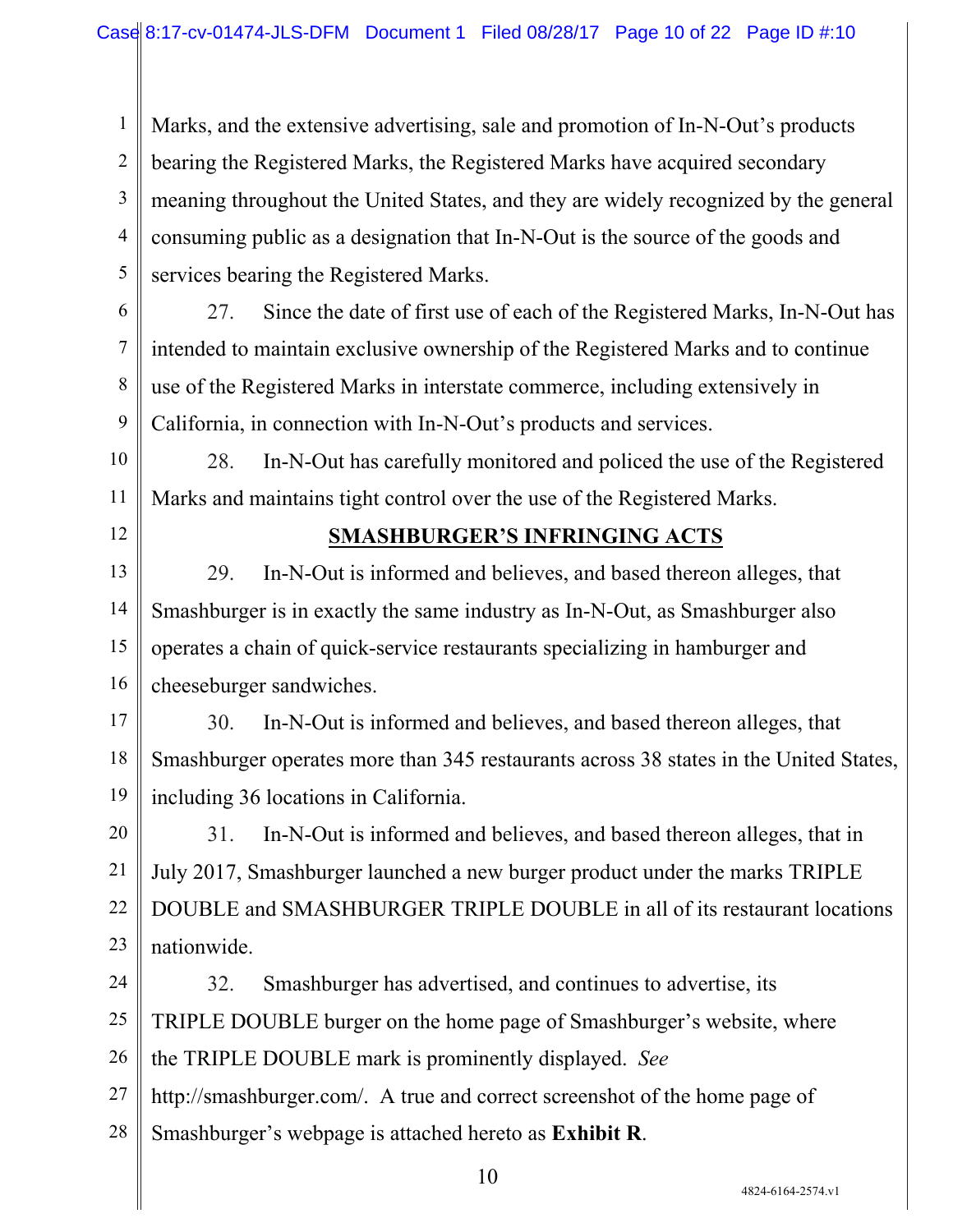1 2 3 4 5 Marks, and the extensive advertising, sale and promotion of In-N-Out's products bearing the Registered Marks, the Registered Marks have acquired secondary meaning throughout the United States, and they are widely recognized by the general consuming public as a designation that In-N-Out is the source of the goods and services bearing the Registered Marks.

6

7

8

9

27. Since the date of first use of each of the Registered Marks, In-N-Out has intended to maintain exclusive ownership of the Registered Marks and to continue use of the Registered Marks in interstate commerce, including extensively in California, in connection with In-N-Out's products and services.

10 11 28. In-N-Out has carefully monitored and policed the use of the Registered Marks and maintains tight control over the use of the Registered Marks.

12

### **SMASHBURGER'S INFRINGING ACTS**

13 14 15 16 29. In-N-Out is informed and believes, and based thereon alleges, that Smashburger is in exactly the same industry as In-N-Out, as Smashburger also operates a chain of quick-service restaurants specializing in hamburger and cheeseburger sandwiches.

17 18 19 30. In-N-Out is informed and believes, and based thereon alleges, that Smashburger operates more than 345 restaurants across 38 states in the United States, including 36 locations in California.

20 21 22 23 31. In-N-Out is informed and believes, and based thereon alleges, that in July 2017, Smashburger launched a new burger product under the marks TRIPLE DOUBLE and SMASHBURGER TRIPLE DOUBLE in all of its restaurant locations nationwide.

24 25 26 27 32. Smashburger has advertised, and continues to advertise, its TRIPLE DOUBLE burger on the home page of Smashburger's website, where the TRIPLE DOUBLE mark is prominently displayed. *See* http://smashburger.com/. A true and correct screenshot of the home page of

28 Smashburger's webpage is attached hereto as **Exhibit R**.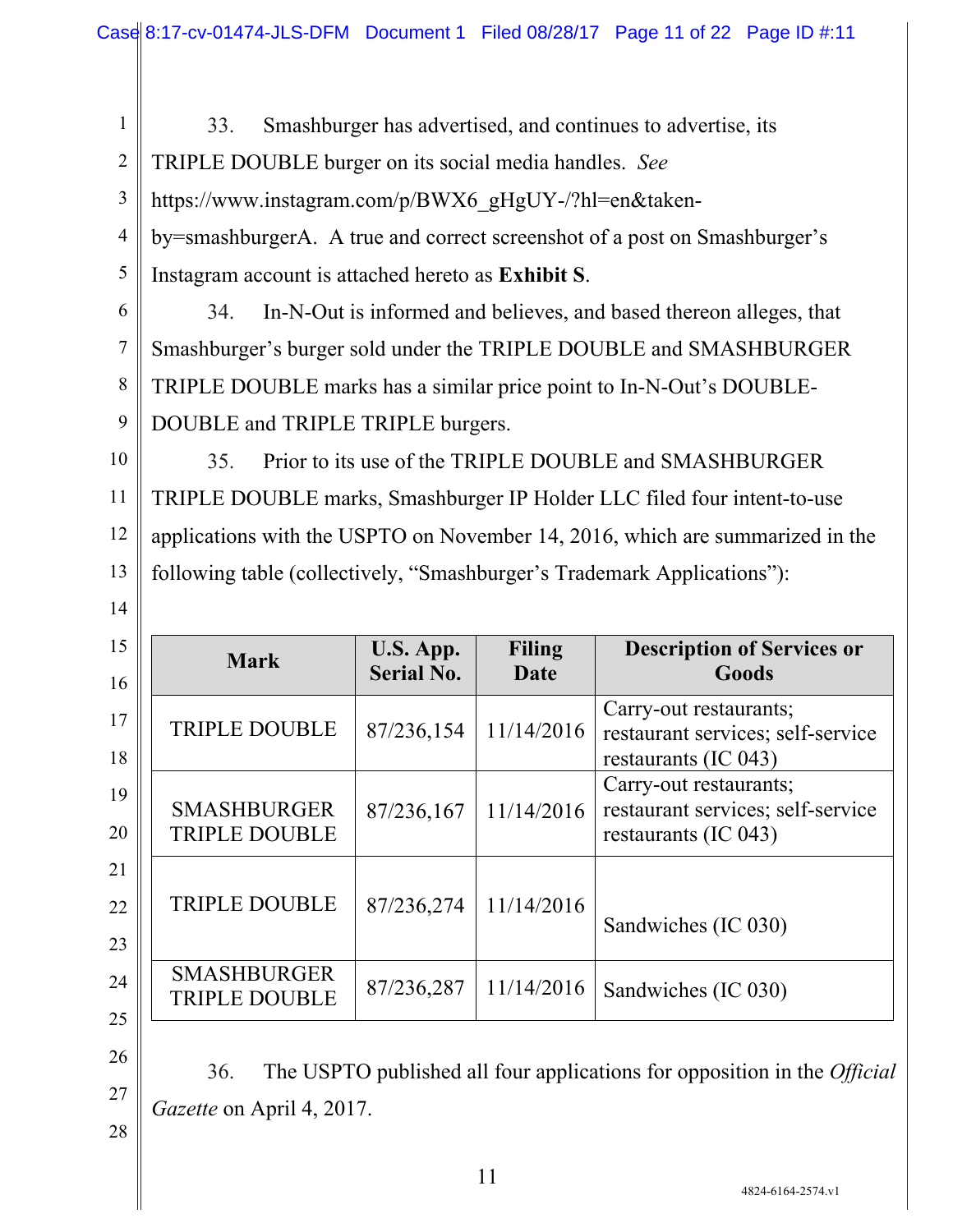1 2 33. Smashburger has advertised, and continues to advertise, its TRIPLE DOUBLE burger on its social media handles. *See* 

3 https://www.instagram.com/p/BWX6\_gHgUY-/?hl=en&taken-

4 5 by=smashburgerA. A true and correct screenshot of a post on Smashburger's Instagram account is attached hereto as **Exhibit S**.

6 7 8 9 34. In-N-Out is informed and believes, and based thereon alleges, that Smashburger's burger sold under the TRIPLE DOUBLE and SMASHBURGER TRIPLE DOUBLE marks has a similar price point to In-N-Out's DOUBLE-DOUBLE and TRIPLE TRIPLE burgers.

10 11 12 13 35. Prior to its use of the TRIPLE DOUBLE and SMASHBURGER TRIPLE DOUBLE marks, Smashburger IP Holder LLC filed four intent-to-use applications with the USPTO on November 14, 2016, which are summarized in the following table (collectively, "Smashburger's Trademark Applications"):

| <b>Mark</b>                                | U.S. App.<br><b>Serial No.</b> | Filing<br>Date | <b>Description of Services or</b><br>Goods                                          |
|--------------------------------------------|--------------------------------|----------------|-------------------------------------------------------------------------------------|
| <b>TRIPLE DOUBLE</b>                       | 87/236,154                     | 11/14/2016     | Carry-out restaurants;<br>restaurant services; self-service<br>restaurants (IC 043) |
| <b>SMASHBURGER</b><br><b>TRIPLE DOUBLE</b> | 87/236,167                     | 11/14/2016     | Carry-out restaurants;<br>restaurant services; self-service<br>restaurants (IC 043) |
| <b>TRIPLE DOUBLE</b>                       | 87/236,274                     | 11/14/2016     | Sandwiches (IC 030)                                                                 |
| <b>SMASHBURGER</b><br><b>TRIPLE DOUBLE</b> | 87/236,287                     | 11/14/2016     | Sandwiches (IC 030)                                                                 |

26

14

36. The USPTO published all four applications for opposition in the *Official Gazette* on April 4, 2017.

28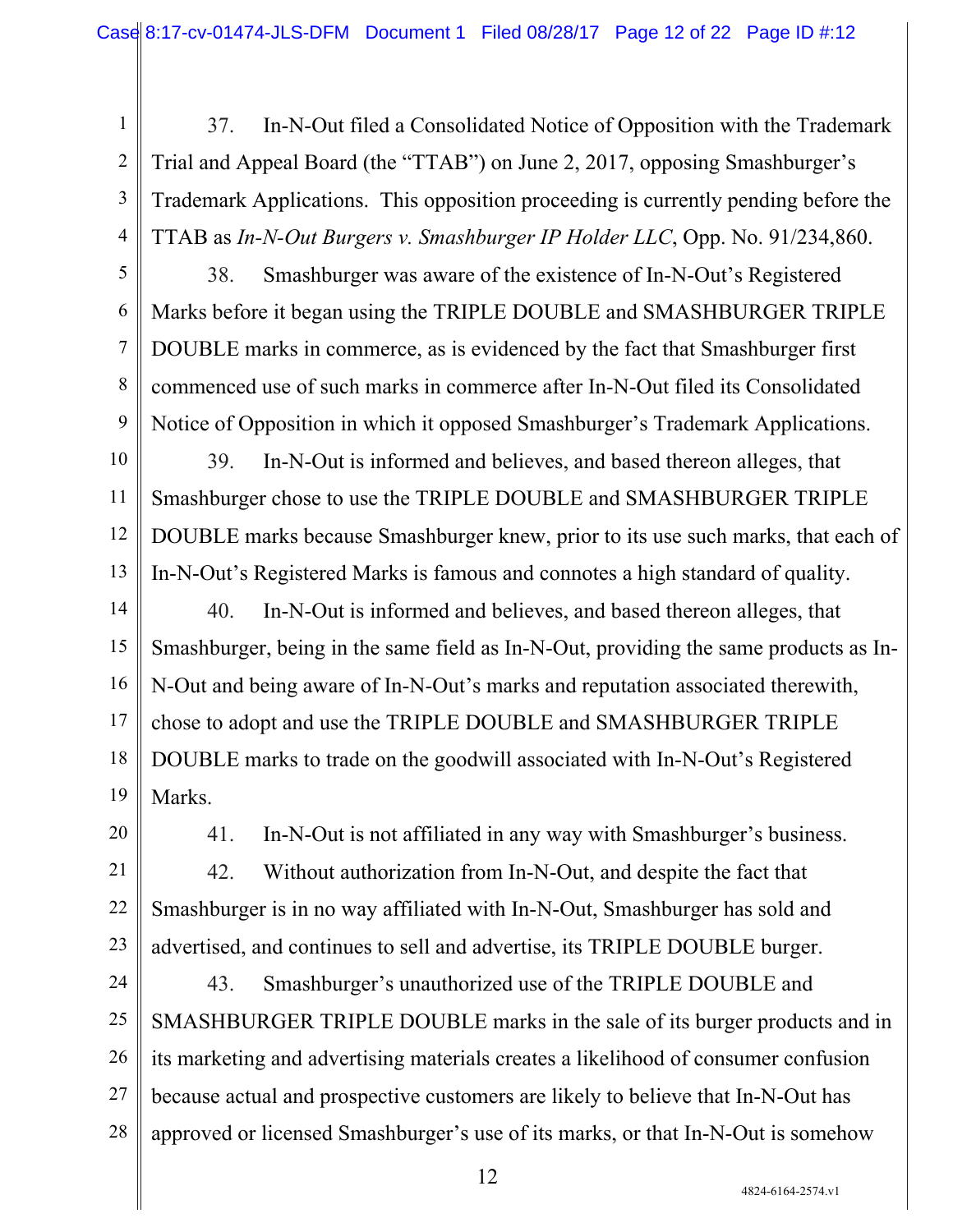- 1 2 3 4 37. In-N-Out filed a Consolidated Notice of Opposition with the Trademark Trial and Appeal Board (the "TTAB") on June 2, 2017, opposing Smashburger's Trademark Applications. This opposition proceeding is currently pending before the TTAB as *In-N-Out Burgers v. Smashburger IP Holder LLC*, Opp. No. 91/234,860.
- 5 6 7 8 9 38. Smashburger was aware of the existence of In-N-Out's Registered Marks before it began using the TRIPLE DOUBLE and SMASHBURGER TRIPLE DOUBLE marks in commerce, as is evidenced by the fact that Smashburger first commenced use of such marks in commerce after In-N-Out filed its Consolidated Notice of Opposition in which it opposed Smashburger's Trademark Applications.
- 10 11 12 13 39. In-N-Out is informed and believes, and based thereon alleges, that Smashburger chose to use the TRIPLE DOUBLE and SMASHBURGER TRIPLE DOUBLE marks because Smashburger knew, prior to its use such marks, that each of In-N-Out's Registered Marks is famous and connotes a high standard of quality.
- 14 15 16 17 18 19 40. In-N-Out is informed and believes, and based thereon alleges, that Smashburger, being in the same field as In-N-Out, providing the same products as In-N-Out and being aware of In-N-Out's marks and reputation associated therewith, chose to adopt and use the TRIPLE DOUBLE and SMASHBURGER TRIPLE DOUBLE marks to trade on the goodwill associated with In-N-Out's Registered Marks.
- 20

41. In-N-Out is not affiliated in any way with Smashburger's business.

21 22 23 42. Without authorization from In-N-Out, and despite the fact that Smashburger is in no way affiliated with In-N-Out, Smashburger has sold and advertised, and continues to sell and advertise, its TRIPLE DOUBLE burger.

24 25 26 27 28 43. Smashburger's unauthorized use of the TRIPLE DOUBLE and SMASHBURGER TRIPLE DOUBLE marks in the sale of its burger products and in its marketing and advertising materials creates a likelihood of consumer confusion because actual and prospective customers are likely to believe that In-N-Out has approved or licensed Smashburger's use of its marks, or that In-N-Out is somehow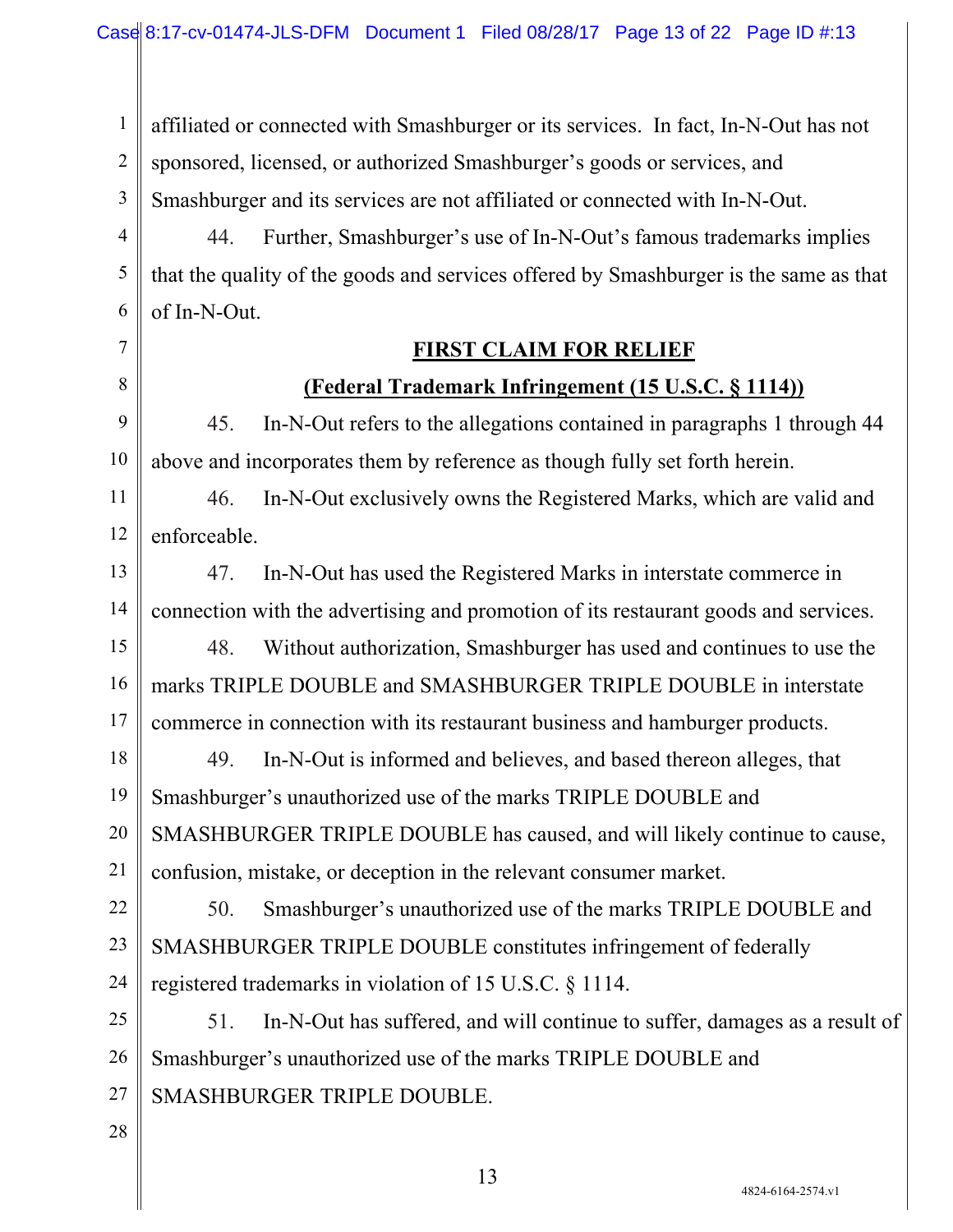1 2 3 affiliated or connected with Smashburger or its services. In fact, In-N-Out has not sponsored, licensed, or authorized Smashburger's goods or services, and Smashburger and its services are not affiliated or connected with In-N-Out.

4 44. Further, Smashburger's use of In-N-Out's famous trademarks implies that the quality of the goods and services offered by Smashburger is the same as that of In-N-Out.

#### **FIRST CLAIM FOR RELIEF**

### **(Federal Trademark Infringement (15 U.S.C. § 1114))**

9 10 45. In-N-Out refers to the allegations contained in paragraphs 1 through 44 above and incorporates them by reference as though fully set forth herein.

11 12 46. In-N-Out exclusively owns the Registered Marks, which are valid and enforceable.

13 14 47. In-N-Out has used the Registered Marks in interstate commerce in connection with the advertising and promotion of its restaurant goods and services.

15 16 17 48. Without authorization, Smashburger has used and continues to use the marks TRIPLE DOUBLE and SMASHBURGER TRIPLE DOUBLE in interstate commerce in connection with its restaurant business and hamburger products.

18 19 20 21 49. In-N-Out is informed and believes, and based thereon alleges, that Smashburger's unauthorized use of the marks TRIPLE DOUBLE and SMASHBURGER TRIPLE DOUBLE has caused, and will likely continue to cause, confusion, mistake, or deception in the relevant consumer market.

22 23 24 50. Smashburger's unauthorized use of the marks TRIPLE DOUBLE and SMASHBURGER TRIPLE DOUBLE constitutes infringement of federally registered trademarks in violation of 15 U.S.C. § 1114.

25 26 27 51. In-N-Out has suffered, and will continue to suffer, damages as a result of Smashburger's unauthorized use of the marks TRIPLE DOUBLE and SMASHBURGER TRIPLE DOUBLE.

28

5

6

7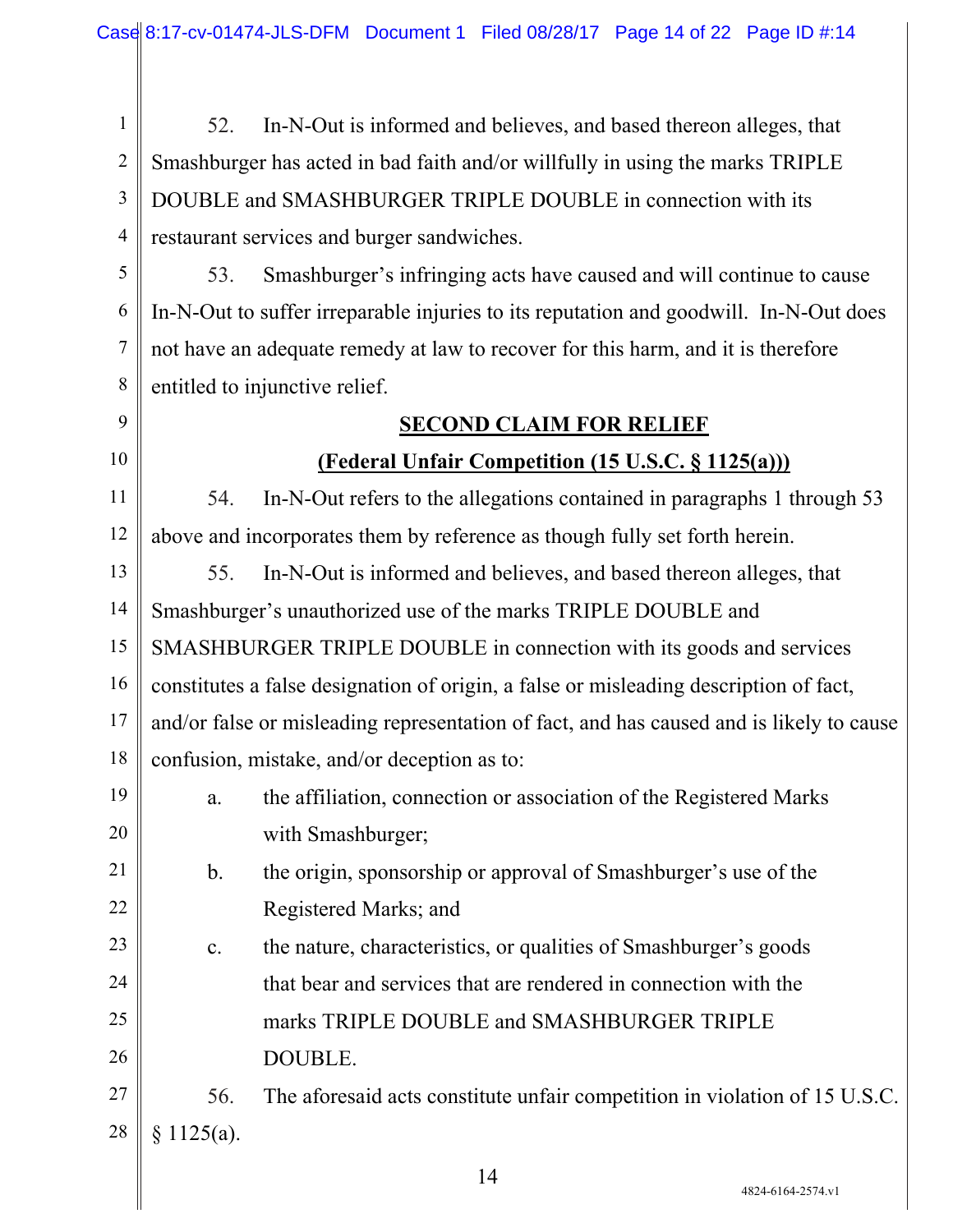1 2 3 4 52. In-N-Out is informed and believes, and based thereon alleges, that Smashburger has acted in bad faith and/or willfully in using the marks TRIPLE DOUBLE and SMASHBURGER TRIPLE DOUBLE in connection with its restaurant services and burger sandwiches.

5 6 7 8 53. Smashburger's infringing acts have caused and will continue to cause In-N-Out to suffer irreparable injuries to its reputation and goodwill. In-N-Out does not have an adequate remedy at law to recover for this harm, and it is therefore entitled to injunctive relief.

## 9 10

11

19

20

21

22

#### **SECOND CLAIM FOR RELIEF**

### **(Federal Unfair Competition (15 U.S.C. § 1125(a)))**

12 54. In-N-Out refers to the allegations contained in paragraphs 1 through 53 above and incorporates them by reference as though fully set forth herein.

13 14 15 16 17 18 55. In-N-Out is informed and believes, and based thereon alleges, that Smashburger's unauthorized use of the marks TRIPLE DOUBLE and SMASHBURGER TRIPLE DOUBLE in connection with its goods and services constitutes a false designation of origin, a false or misleading description of fact, and/or false or misleading representation of fact, and has caused and is likely to cause confusion, mistake, and/or deception as to:

- a. the affiliation, connection or association of the Registered Marks with Smashburger;
- b. the origin, sponsorship or approval of Smashburger's use of the Registered Marks; and

23 24 25 26 c. the nature, characteristics, or qualities of Smashburger's goods that bear and services that are rendered in connection with the marks TRIPLE DOUBLE and SMASHBURGER TRIPLE DOUBLE.

27 28 56. The aforesaid acts constitute unfair competition in violation of 15 U.S.C.  $§ 1125(a).$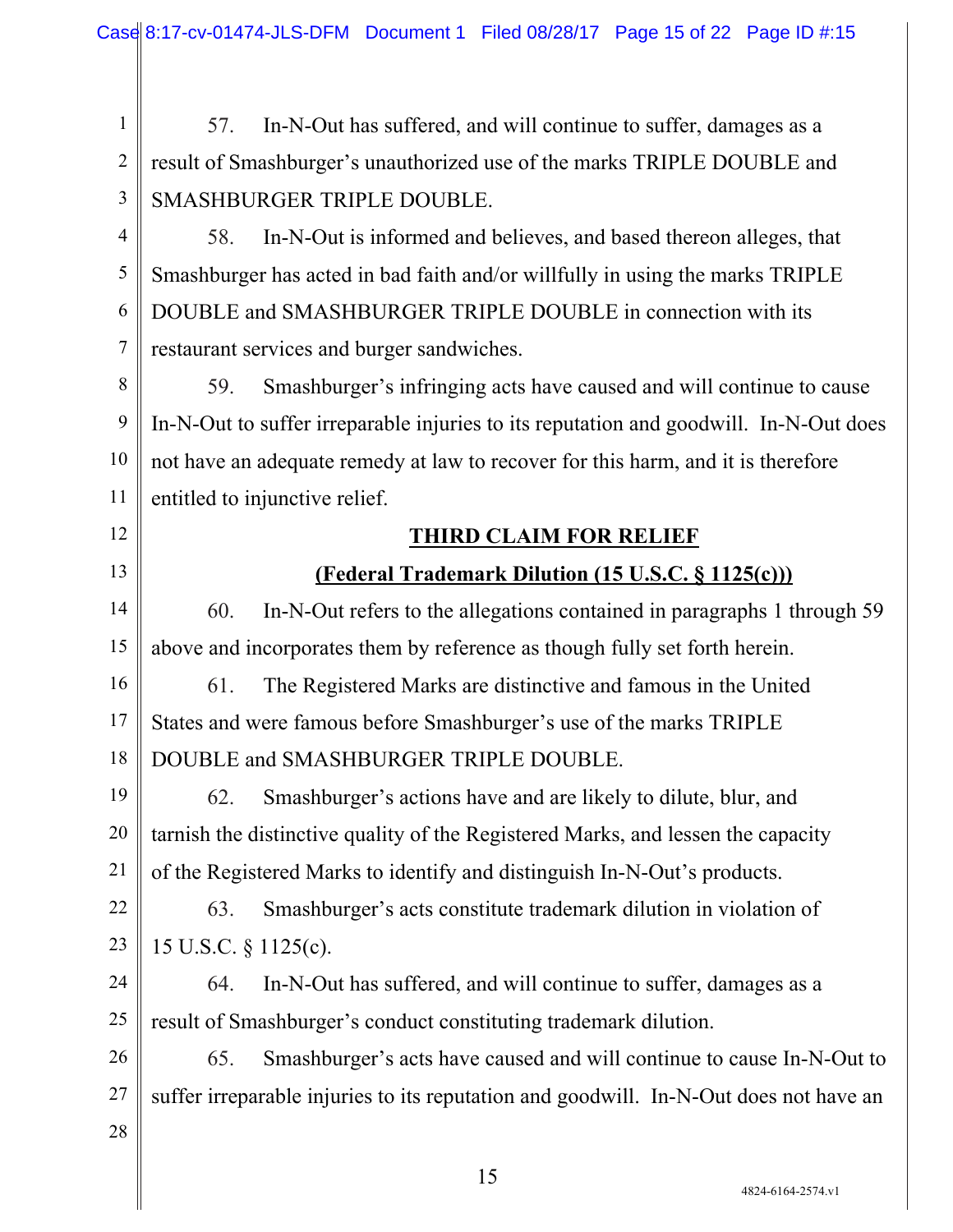1 2 3 57. In-N-Out has suffered, and will continue to suffer, damages as a result of Smashburger's unauthorized use of the marks TRIPLE DOUBLE and SMASHBURGER TRIPLE DOUBLE.

4 5 6 7 58. In-N-Out is informed and believes, and based thereon alleges, that Smashburger has acted in bad faith and/or willfully in using the marks TRIPLE DOUBLE and SMASHBURGER TRIPLE DOUBLE in connection with its restaurant services and burger sandwiches.

8 9 10 11 59. Smashburger's infringing acts have caused and will continue to cause In-N-Out to suffer irreparable injuries to its reputation and goodwill. In-N-Out does not have an adequate remedy at law to recover for this harm, and it is therefore entitled to injunctive relief.

#### **THIRD CLAIM FOR RELIEF**

#### **(Federal Trademark Dilution (15 U.S.C. § 1125(c)))**

14 15 60. In-N-Out refers to the allegations contained in paragraphs 1 through 59 above and incorporates them by reference as though fully set forth herein.

16 17 18 61. The Registered Marks are distinctive and famous in the United States and were famous before Smashburger's use of the marks TRIPLE DOUBLE and SMASHBURGER TRIPLE DOUBLE.

19 20 21 62. Smashburger's actions have and are likely to dilute, blur, and tarnish the distinctive quality of the Registered Marks, and lessen the capacity of the Registered Marks to identify and distinguish In-N-Out's products.

22 23 63. Smashburger's acts constitute trademark dilution in violation of 15 U.S.C. § 1125(c).

24 25 64. In-N-Out has suffered, and will continue to suffer, damages as a result of Smashburger's conduct constituting trademark dilution.

26 27 65. Smashburger's acts have caused and will continue to cause In-N-Out to suffer irreparable injuries to its reputation and goodwill. In-N-Out does not have an

28

12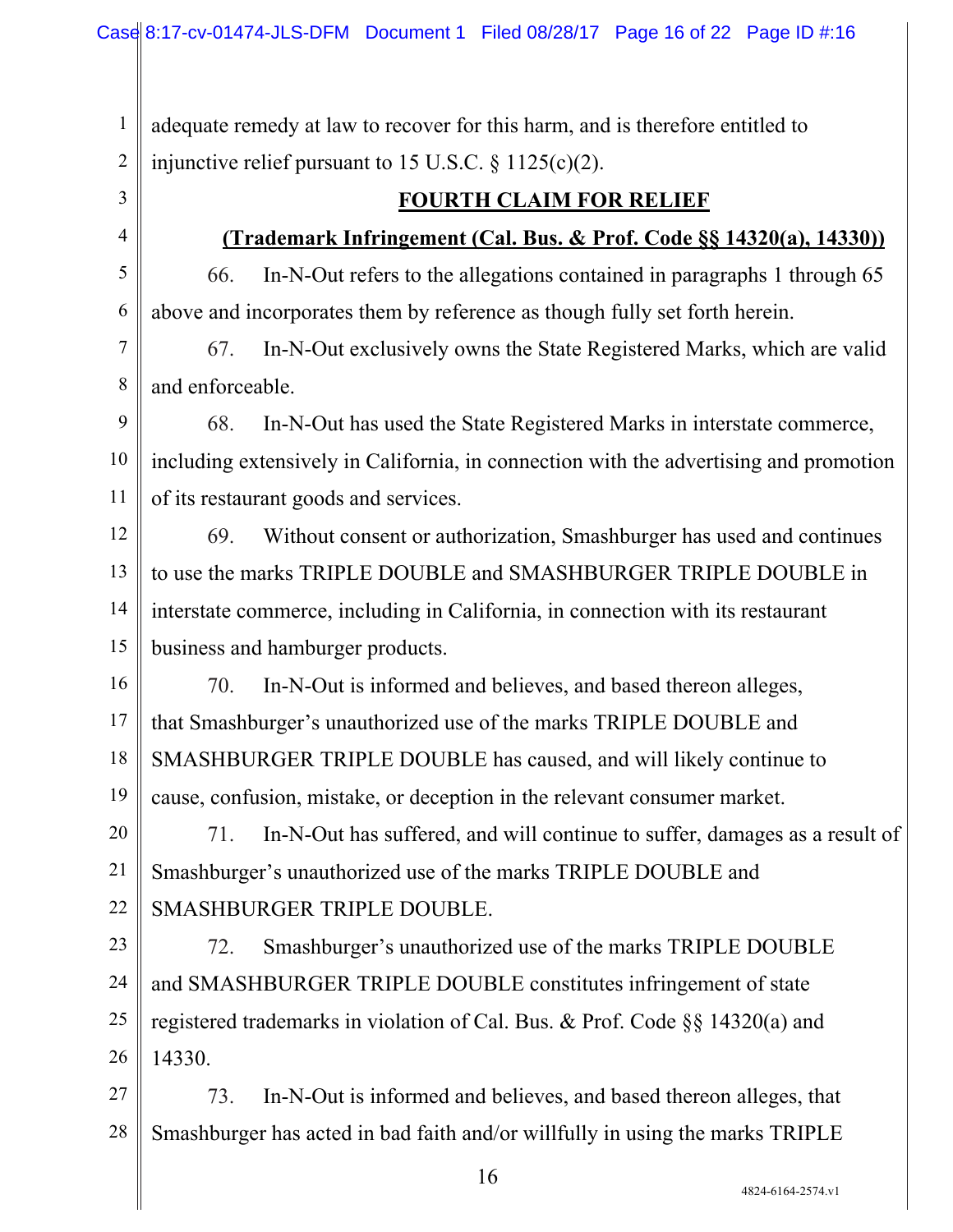1 2 adequate remedy at law to recover for this harm, and is therefore entitled to injunctive relief pursuant to 15 U.S.C. § 1125(c)(2).

3

4

#### **FOURTH CLAIM FOR RELIEF**

### **(Trademark Infringement (Cal. Bus. & Prof. Code §§ 14320(a), 14330))**

5 6 66. In-N-Out refers to the allegations contained in paragraphs 1 through 65 above and incorporates them by reference as though fully set forth herein.

7 8 67. In-N-Out exclusively owns the State Registered Marks, which are valid and enforceable.

9 10 11 68. In-N-Out has used the State Registered Marks in interstate commerce, including extensively in California, in connection with the advertising and promotion of its restaurant goods and services.

12 13 14 15 69. Without consent or authorization, Smashburger has used and continues to use the marks TRIPLE DOUBLE and SMASHBURGER TRIPLE DOUBLE in interstate commerce, including in California, in connection with its restaurant business and hamburger products.

16 17 18 19 70. In-N-Out is informed and believes, and based thereon alleges, that Smashburger's unauthorized use of the marks TRIPLE DOUBLE and SMASHBURGER TRIPLE DOUBLE has caused, and will likely continue to cause, confusion, mistake, or deception in the relevant consumer market.

20 21 22 71. In-N-Out has suffered, and will continue to suffer, damages as a result of Smashburger's unauthorized use of the marks TRIPLE DOUBLE and SMASHBURGER TRIPLE DOUBLE.

23 24 25 26 72. Smashburger's unauthorized use of the marks TRIPLE DOUBLE and SMASHBURGER TRIPLE DOUBLE constitutes infringement of state registered trademarks in violation of Cal. Bus. & Prof. Code §§ 14320(a) and 14330.

27 28 73. In-N-Out is informed and believes, and based thereon alleges, that Smashburger has acted in bad faith and/or willfully in using the marks TRIPLE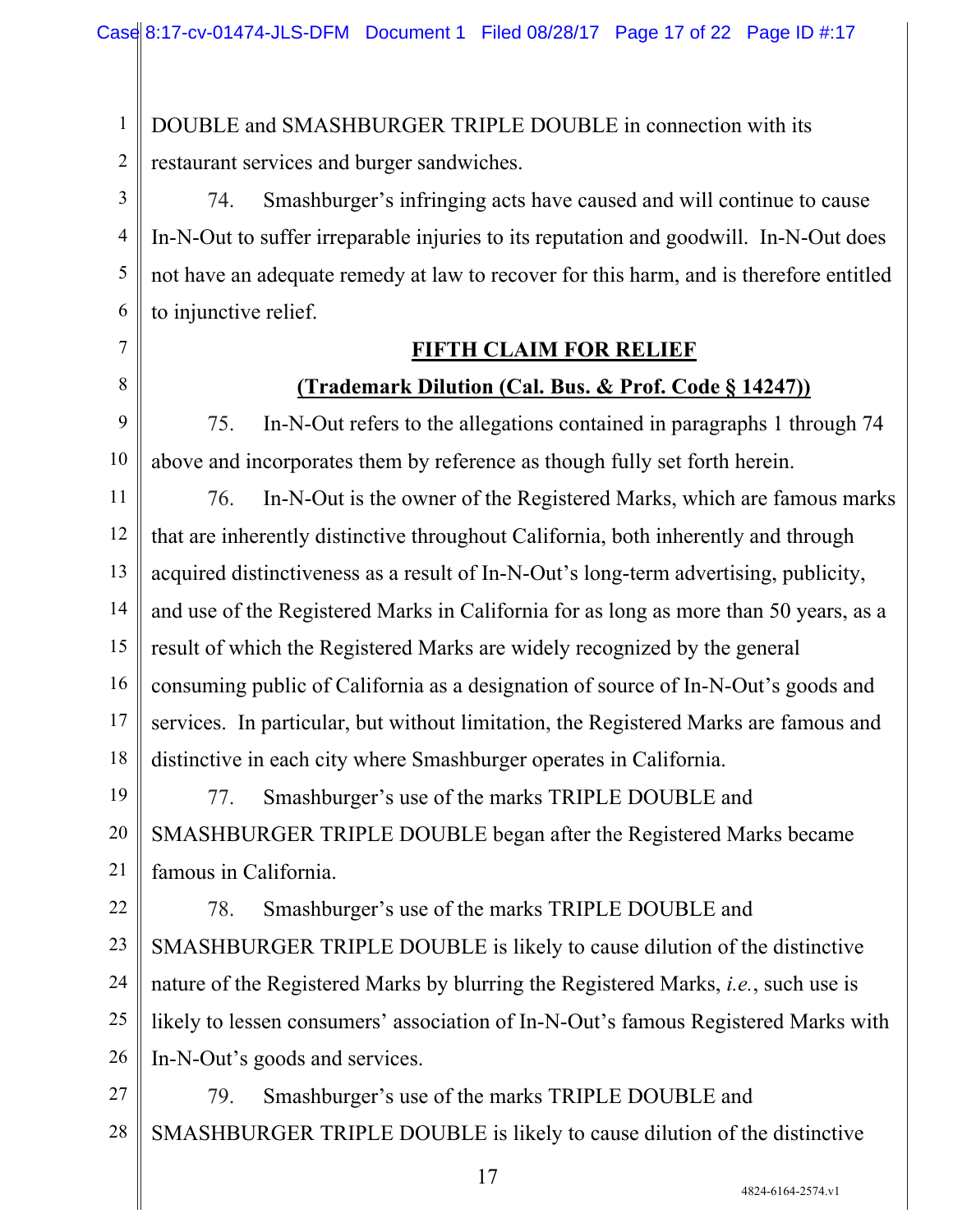1 2 DOUBLE and SMASHBURGER TRIPLE DOUBLE in connection with its restaurant services and burger sandwiches.

3 4 5 6 74. Smashburger's infringing acts have caused and will continue to cause In-N-Out to suffer irreparable injuries to its reputation and goodwill. In-N-Out does not have an adequate remedy at law to recover for this harm, and is therefore entitled to injunctive relief.

# 7

8

#### **FIFTH CLAIM FOR RELIEF**

#### **(Trademark Dilution (Cal. Bus. & Prof. Code § 14247))**

9 10 75. In-N-Out refers to the allegations contained in paragraphs 1 through 74 above and incorporates them by reference as though fully set forth herein.

11 12 13 14 15 16 17 18 76. In-N-Out is the owner of the Registered Marks, which are famous marks that are inherently distinctive throughout California, both inherently and through acquired distinctiveness as a result of In-N-Out's long-term advertising, publicity, and use of the Registered Marks in California for as long as more than 50 years, as a result of which the Registered Marks are widely recognized by the general consuming public of California as a designation of source of In-N-Out's goods and services. In particular, but without limitation, the Registered Marks are famous and distinctive in each city where Smashburger operates in California.

19 20 21 77. Smashburger's use of the marks TRIPLE DOUBLE and SMASHBURGER TRIPLE DOUBLE began after the Registered Marks became famous in California.

22 23 24 25 26 78. Smashburger's use of the marks TRIPLE DOUBLE and SMASHBURGER TRIPLE DOUBLE is likely to cause dilution of the distinctive nature of the Registered Marks by blurring the Registered Marks, *i.e.*, such use is likely to lessen consumers' association of In-N-Out's famous Registered Marks with In-N-Out's goods and services.

27 28 79. Smashburger's use of the marks TRIPLE DOUBLE and SMASHBURGER TRIPLE DOUBLE is likely to cause dilution of the distinctive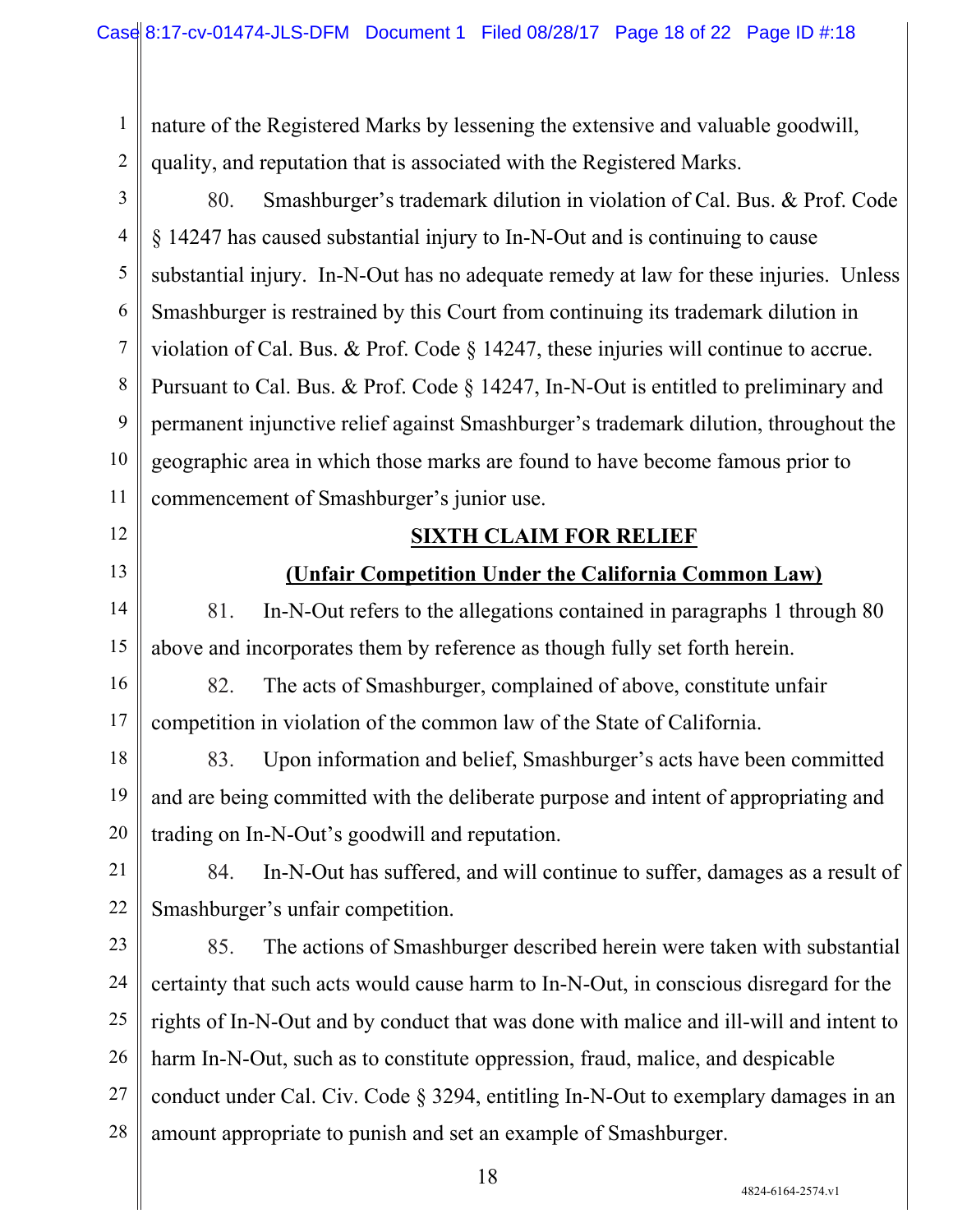1 2 nature of the Registered Marks by lessening the extensive and valuable goodwill, quality, and reputation that is associated with the Registered Marks.

3 4 5 6 7 8 9 10 11 80. Smashburger's trademark dilution in violation of Cal. Bus. & Prof. Code § 14247 has caused substantial injury to In-N-Out and is continuing to cause substantial injury. In-N-Out has no adequate remedy at law for these injuries. Unless Smashburger is restrained by this Court from continuing its trademark dilution in violation of Cal. Bus. & Prof. Code § 14247, these injuries will continue to accrue. Pursuant to Cal. Bus. & Prof. Code § 14247, In-N-Out is entitled to preliminary and permanent injunctive relief against Smashburger's trademark dilution, throughout the geographic area in which those marks are found to have become famous prior to commencement of Smashburger's junior use.

### **SIXTH CLAIM FOR RELIEF**

#### **(Unfair Competition Under the California Common Law)**

14 81. In-N-Out refers to the allegations contained in paragraphs 1 through 80 above and incorporates them by reference as though fully set forth herein.

16 17 82. The acts of Smashburger, complained of above, constitute unfair competition in violation of the common law of the State of California.

12

13

15

18 19 20 83. Upon information and belief, Smashburger's acts have been committed and are being committed with the deliberate purpose and intent of appropriating and trading on In-N-Out's goodwill and reputation.

21 22 84. In-N-Out has suffered, and will continue to suffer, damages as a result of Smashburger's unfair competition.

23 24 25 26 27 28 85. The actions of Smashburger described herein were taken with substantial certainty that such acts would cause harm to In-N-Out, in conscious disregard for the rights of In-N-Out and by conduct that was done with malice and ill-will and intent to harm In-N-Out, such as to constitute oppression, fraud, malice, and despicable conduct under Cal. Civ. Code § 3294, entitling In-N-Out to exemplary damages in an amount appropriate to punish and set an example of Smashburger.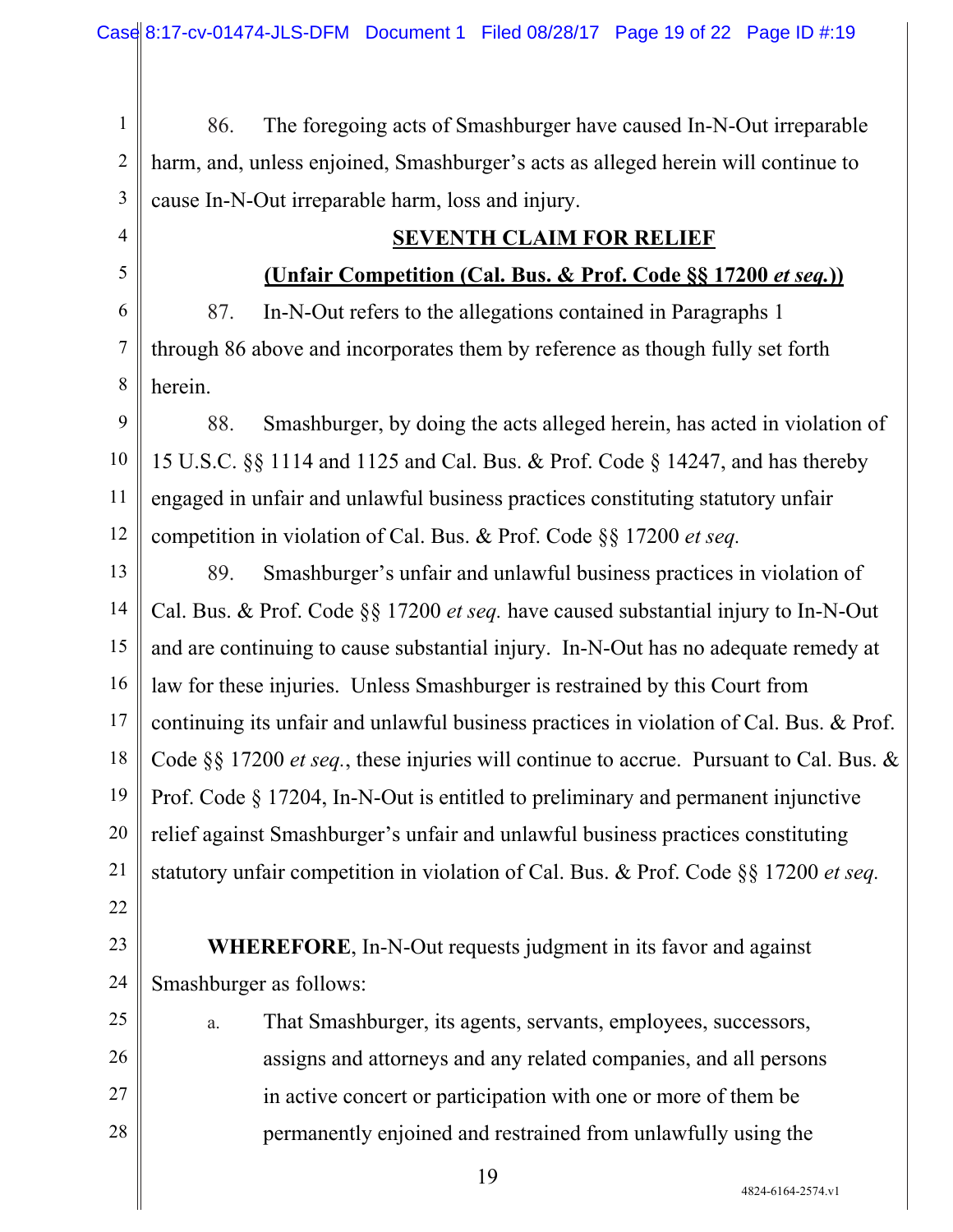1 2 3 86. The foregoing acts of Smashburger have caused In-N-Out irreparable harm, and, unless enjoined, Smashburger's acts as alleged herein will continue to cause In-N-Out irreparable harm, loss and injury.

**SEVENTH CLAIM FOR RELIEF** 

#### **(Unfair Competition (Cal. Bus. & Prof. Code §§ 17200** *et seq.***))**

6 87. In-N-Out refers to the allegations contained in Paragraphs 1 through 86 above and incorporates them by reference as though fully set forth herein.

9 10 11 12 88. Smashburger, by doing the acts alleged herein, has acted in violation of 15 U.S.C. §§ 1114 and 1125 and Cal. Bus. & Prof. Code § 14247, and has thereby engaged in unfair and unlawful business practices constituting statutory unfair competition in violation of Cal. Bus. & Prof. Code §§ 17200 *et seq.*

- 13 14 15 16 17 18 19 20 21 89. Smashburger's unfair and unlawful business practices in violation of Cal. Bus. & Prof. Code §§ 17200 *et seq.* have caused substantial injury to In-N-Out and are continuing to cause substantial injury. In-N-Out has no adequate remedy at law for these injuries. Unless Smashburger is restrained by this Court from continuing its unfair and unlawful business practices in violation of Cal. Bus. & Prof. Code §§ 17200 *et seq.*, these injuries will continue to accrue. Pursuant to Cal. Bus. & Prof. Code § 17204, In-N-Out is entitled to preliminary and permanent injunctive relief against Smashburger's unfair and unlawful business practices constituting statutory unfair competition in violation of Cal. Bus. & Prof. Code §§ 17200 *et seq.*
- 22 23

25

26

27

28

4

5

7

8

24 **WHEREFORE**, In-N-Out requests judgment in its favor and against Smashburger as follows:

a. That Smashburger, its agents, servants, employees, successors, assigns and attorneys and any related companies, and all persons in active concert or participation with one or more of them be permanently enjoined and restrained from unlawfully using the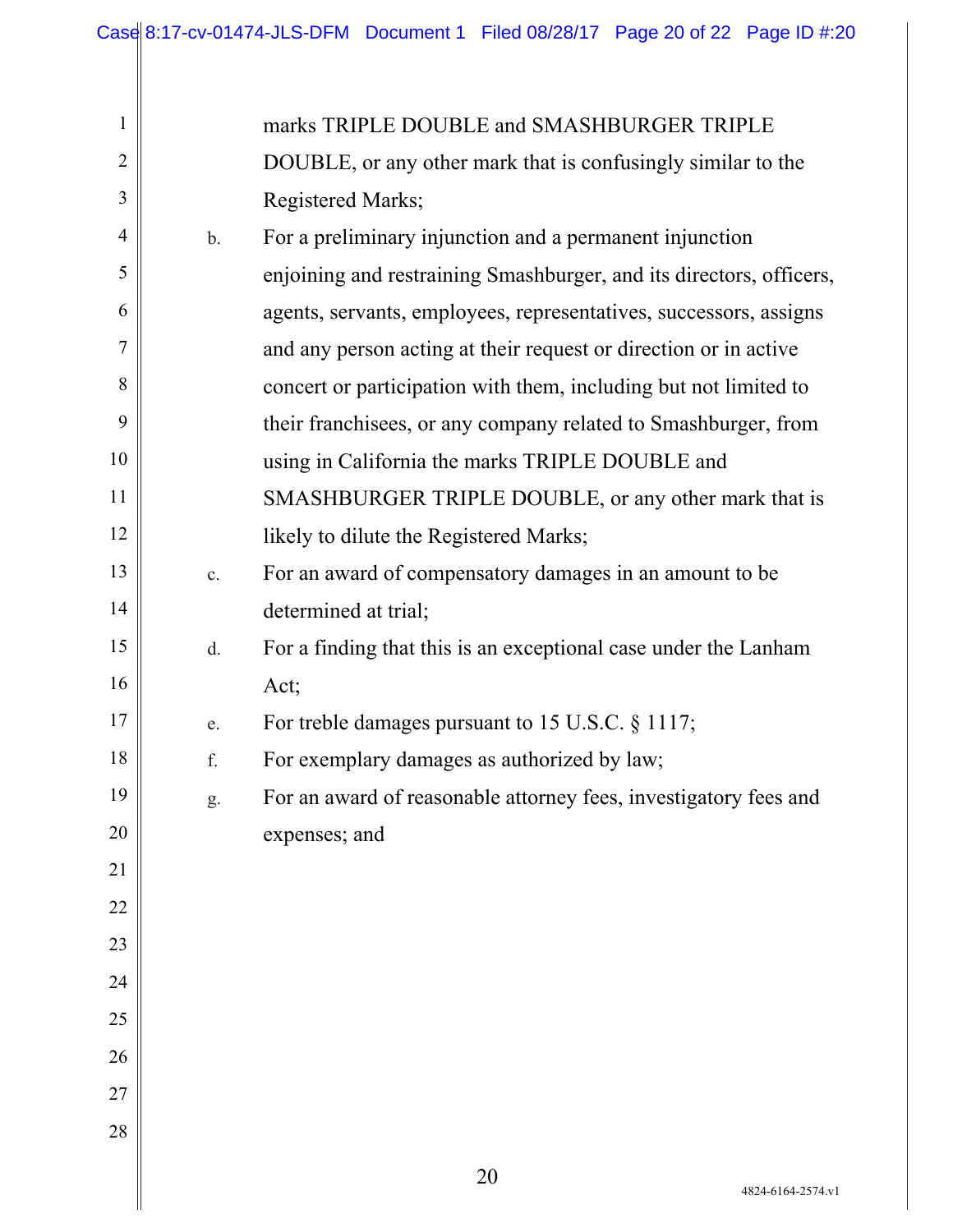| 1              |                | marks TRIPLE DOUBLE and SMASHBURGER TRIPLE                          |
|----------------|----------------|---------------------------------------------------------------------|
| $\overline{2}$ |                | DOUBLE, or any other mark that is confusingly similar to the        |
| 3              |                | Registered Marks;                                                   |
| 4              | $\mathbf b$ .  | For a preliminary injunction and a permanent injunction             |
| 5              |                | enjoining and restraining Smashburger, and its directors, officers, |
| 6              |                | agents, servants, employees, representatives, successors, assigns   |
| 7              |                | and any person acting at their request or direction or in active    |
| 8              |                | concert or participation with them, including but not limited to    |
| 9              |                | their franchisees, or any company related to Smashburger, from      |
| 10             |                | using in California the marks TRIPLE DOUBLE and                     |
| 11             |                | SMASHBURGER TRIPLE DOUBLE, or any other mark that is                |
| 12             |                | likely to dilute the Registered Marks;                              |
| 13             | $\mathbf{c}$ . | For an award of compensatory damages in an amount to be             |
| 14             |                | determined at trial;                                                |
| 15             | d.             | For a finding that this is an exceptional case under the Lanham     |
| 16             |                | Act;                                                                |
| 17             | e.             | For treble damages pursuant to 15 U.S.C. § 1117;                    |
| 18             | f.             | For exemplary damages as authorized by law;                         |
| 19             | g.             | For an award of reasonable attorney fees, investigatory fees and    |
| 20             |                | expenses; and                                                       |
| 21             |                |                                                                     |
| 22             |                |                                                                     |
| 23             |                |                                                                     |
| 24             |                |                                                                     |
| 25             |                |                                                                     |
| 26             |                |                                                                     |
| 27             |                |                                                                     |
| 28             |                |                                                                     |
|                |                |                                                                     |

 $\mathbb{I}$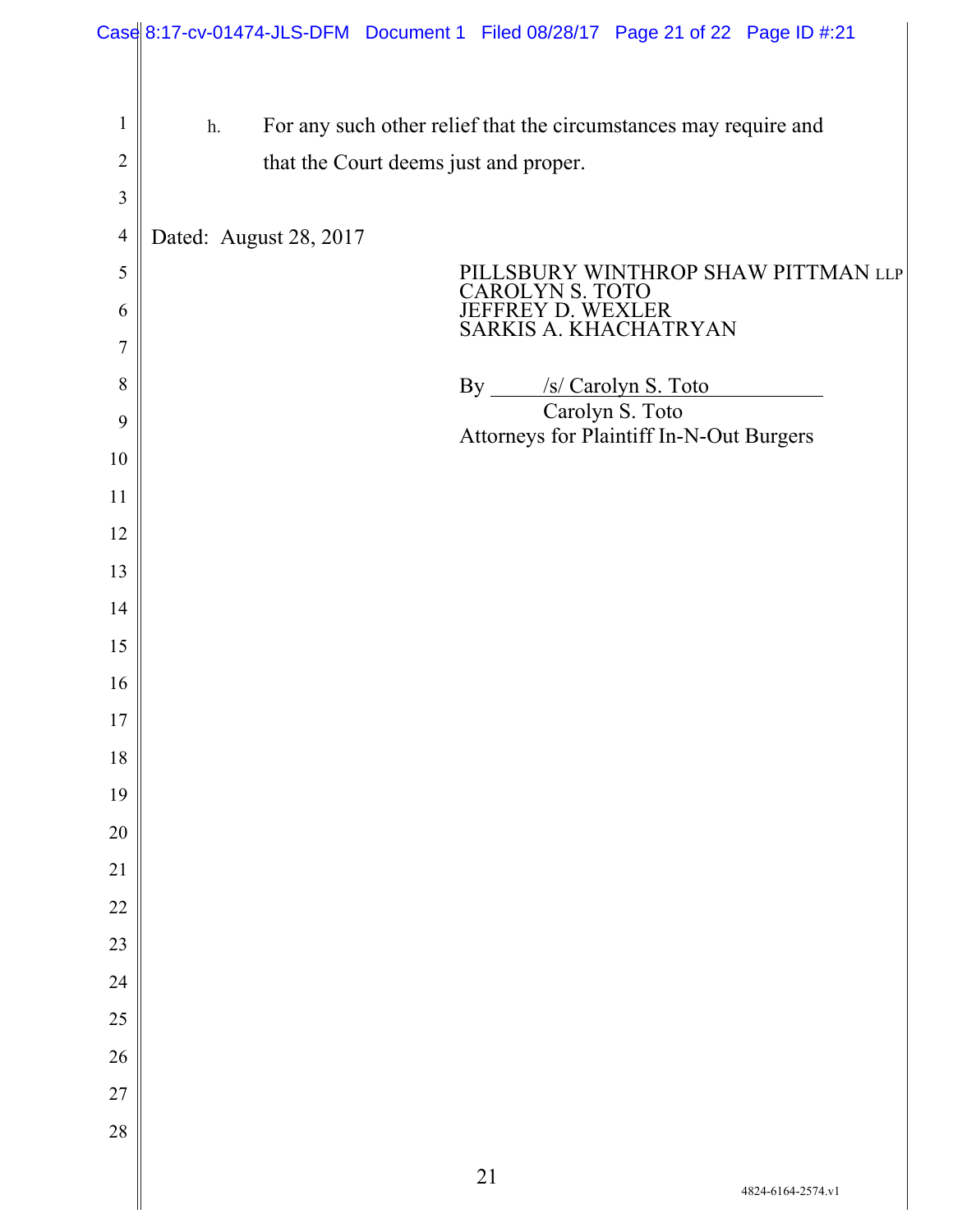|                | Case 8:17-cv-01474-JLS-DFM Document 1 Filed 08/28/17 Page 21 of 22 Page ID #:21 |
|----------------|---------------------------------------------------------------------------------|
|                |                                                                                 |
| $\mathbf{1}$   | For any such other relief that the circumstances may require and<br>$h$ .       |
| $\overline{c}$ | that the Court deems just and proper.                                           |
| $\mathfrak{Z}$ |                                                                                 |
| 4              | Dated: August 28, 2017                                                          |
| 5              | PILLSBURY WINTHROP SHAW PITTMAN LLP<br><b>CAROLYN S. TOTO</b>                   |
| 6              | JEFFREY D. WEXLER<br>SARKIS A. KHACHATRYAN                                      |
| 7              |                                                                                 |
| 8              | By ____ /s/ Carolyn S. Toto<br>Carolyn S. Toto                                  |
| 9              | Attorneys for Plaintiff In-N-Out Burgers                                        |
| 10             |                                                                                 |
| 11             |                                                                                 |
| 12             |                                                                                 |
| 13             |                                                                                 |
| 14             |                                                                                 |
| 15             |                                                                                 |
| 16             |                                                                                 |
| 17             |                                                                                 |
| 18             |                                                                                 |
| 19             |                                                                                 |
| $20\,$         |                                                                                 |
| 21             |                                                                                 |
| 22             |                                                                                 |
| 23             |                                                                                 |
| 24             |                                                                                 |
| 25             |                                                                                 |
| $26\,$         |                                                                                 |
| $27\,$         |                                                                                 |
| $28\,$         |                                                                                 |
|                | 21<br>4824-6164-2574.vl                                                         |